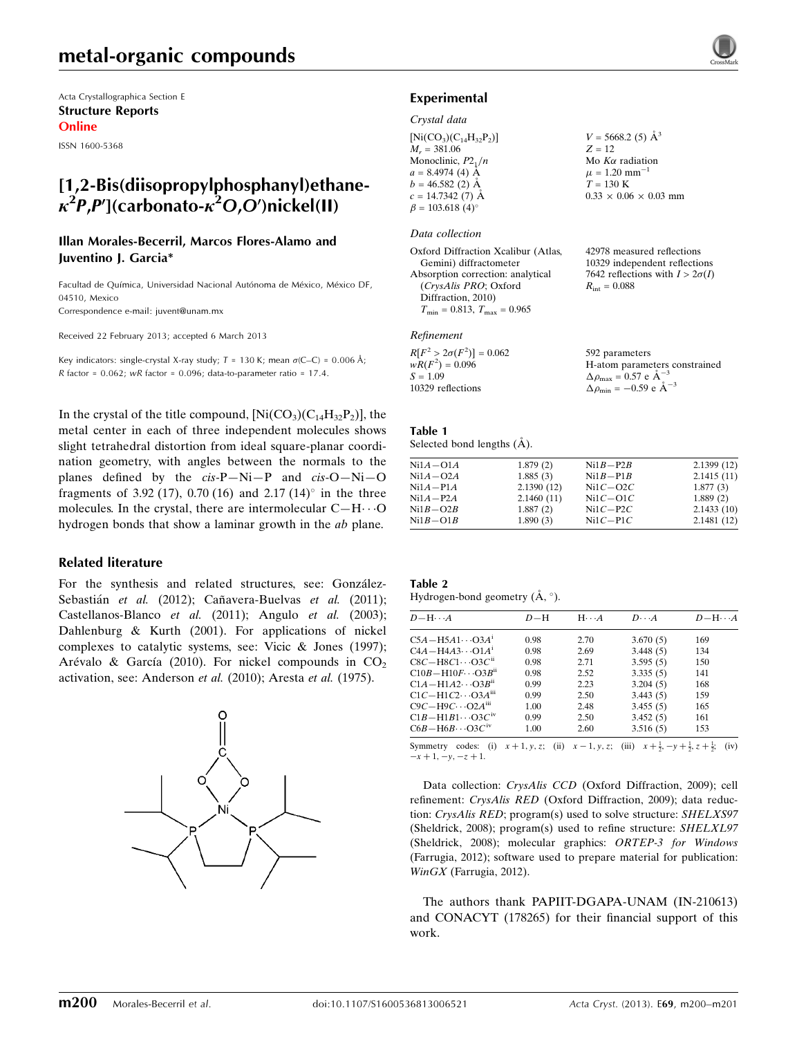Acta Crystallographica Section E Structure Reports Online

ISSN 1600-5368

# [1,2-Bis(diisopropylphosphanyl)ethane- $\kappa^2$ P,P'](carbonato- $\kappa^2$ O,O')nickel(II)

#### Illan Morales-Becerril, Marcos Flores-Alamo and Juventino J. Garcia\*

Facultad de Química, Universidad Nacional Autónoma de México, México DF, 04510, Mexico

Correspondence e-mail: [juvent@unam.mx](https://scripts.iucr.org/cgi-bin/cr.cgi?rm=pdfbb&cnor=ru2049&bbid=BB14)

Received 22 February 2013; accepted 6 March 2013

Key indicators: single-crystal X-ray study;  $T = 130$  K; mean  $\sigma$ (C–C) = 0.006 Å;  $R$  factor = 0.062; wR factor = 0.096; data-to-parameter ratio = 17.4.

In the crystal of the title compound,  $[Ni(CO<sub>3</sub>)(C<sub>14</sub>H<sub>32</sub>P<sub>2</sub>)]$ , the metal center in each of three independent molecules shows slight tetrahedral distortion from ideal square-planar coordination geometry, with angles between the normals to the planes defined by the cis-P—Ni—P and cis-O—Ni—O fragments of 3.92 (17), 0.70 (16) and 2.17 (14) $^{\circ}$  in the three molecules. In the crystal, there are intermolecular  $C-H\cdots O$ hydrogen bonds that show a laminar growth in the ab plane.

#### Related literature

For the synthesis and related structures, see: González-Sebastián et al. (2012); Cañavera-Buelvas et al. (2011); Castellanos-Blanco et al. (2011); Angulo et al. (2003); Dahlenburg & Kurth (2001). For applications of nickel complexes to catalytic systems, see: Vicic & Jones (1997); Arévalo & García (2010). For nickel compounds in  $CO<sub>2</sub>$ activation, see: Anderson et al. (2010); Aresta et al. (1975).

Experimental Crystal data

| $[Ni(CO_3)(C_{14}H_{32}P_2)]$ |  |
|-------------------------------|--|
| $M_r = 381.06$                |  |
| Monoclinic, $P2_1/n$          |  |
| $a = 8.4974(4)$ Å             |  |
| $b = 46.582(2)$ Å             |  |
| $c = 14.7342(7)$ Å            |  |
| $\beta = 103.618(4)$ °        |  |

#### Data collection

Oxford Diffraction Xcalibur (Atlas, Gemini) diffractometer Absorption correction: analytical (CrysAlis PRO; Oxford Diffraction, 2010)  $T_{\text{min}} = 0.813, T_{\text{max}} = 0.965$ 

#### Refinement

| $R[F^2 > 2\sigma(F^2)] = 0.062$ | 592 parameters                                    |
|---------------------------------|---------------------------------------------------|
| $wR(F^2) = 0.096$               | H-atom parameters constrained                     |
| $S = 1.09$                      | $\Delta\rho_{\text{max}} = 0.57 \text{ e A}^{-3}$ |
| 10329 reflections               | $\Delta \rho_{\text{min}} = -0.59$ e $\AA^{-3}$   |

 $V = 5668.2$  (5)  $\AA^3$  $Z = 12$ Mo  $K\alpha$  radiation  $\mu = 1.20$  mm<sup>-1</sup>  $T = 130 \text{ K}$ 

 $0.33 \times 0.06 \times 0.03$  mm

42978 measured reflections 10329 independent reflections 7642 reflections with  $I > 2\sigma(I)$ 

 $R_{\text{int}} = 0.088$ 

#### Table 1

Selected bond lengths  $(A)$ .

| $Ni1A-O1A$ | 1.879(2)   | $Ni1B-P2B$ | 2.1399(12) |
|------------|------------|------------|------------|
| $Ni1A-O2A$ | 1.885(3)   | $Ni1B-P1B$ | 2.1415(11) |
| $Ni1A-P1A$ | 2.1390(12) | $Ni1C-O2C$ | 1.877(3)   |
| $Ni1A-P2A$ | 2.1460(11) | $Ni1C-O1C$ | 1.889(2)   |
| $Ni1B-O2B$ | 1.887(2)   | $Ni1C-P2C$ | 2.1433(10) |
| $Ni1B-O1B$ | 1.890(3)   | $Ni1C-P1C$ | 2.1481(12) |

Hydrogen-bond geometry  $(\AA, \degree)$ .

| $D - H \cdots A$                       | $D-H$ | $H \cdot \cdot \cdot A$ | $D\cdots A$ | $D - H \cdots A$ |
|----------------------------------------|-------|-------------------------|-------------|------------------|
| $C5A - H5A1 \cdots O3A1$               | 0.98  | 2.70                    | 3.670(5)    | 169              |
| $C4A - H4A3 \cdots O1A1$               | 0.98  | 2.69                    | 3.448(5)    | 134              |
| $C8C - H8C1 \cdots O3C$ <sup>n</sup>   | 0.98  | 2.71                    | 3.595(5)    | 150              |
| $C10B - H10F \cdots O3B$ <sup>ii</sup> | 0.98  | 2.52                    | 3.335(5)    | 141              |
| $C1A - H1A2 \cdots O3Bii$              | 0.99  | 2.23                    | 3.204(5)    | 168              |
| $C1C-H1C2\cdots$ $O3A^{iii}$           | 0.99  | 2.50                    | 3.443(5)    | 159              |
| $C9C - H9C \cdots O2A^{iii}$           | 1.00  | 2.48                    | 3.455(5)    | 165              |
| $C1B-H1B1\cdots O3C^{iv}$              | 0.99  | 2.50                    | 3.452(5)    | 161              |
| $C6B - H6B \cdots O3Cw$                | 1.00  | 2.60                    | 3.516(5)    | 153              |

Symmetry codes: (i)  $x + 1, y, z$ ; (ii)  $x - 1, y, z$ ; (iii)  $x + \frac{1}{2}, -y + \frac{1}{2}, z + \frac{1}{2}$ ; (iv)  $-x + 1, -y, -z + 1.$ 

Data collection: CrysAlis CCD (Oxford Diffraction, 2009); cell refinement: CrysAlis RED (Oxford Diffraction, 2009); data reduction: CrysAlis RED; program(s) used to solve structure: SHELXS97 (Sheldrick, 2008); program(s) used to refine structure: SHELXL97 (Sheldrick, 2008); molecular graphics: ORTEP-3 for Windows (Farrugia, 2012); software used to prepare material for publication: WinGX (Farrugia, 2012).

The authors thank PAPIIT-DGAPA-UNAM (IN-210613) and CONACYT (178265) for their financial support of this work.

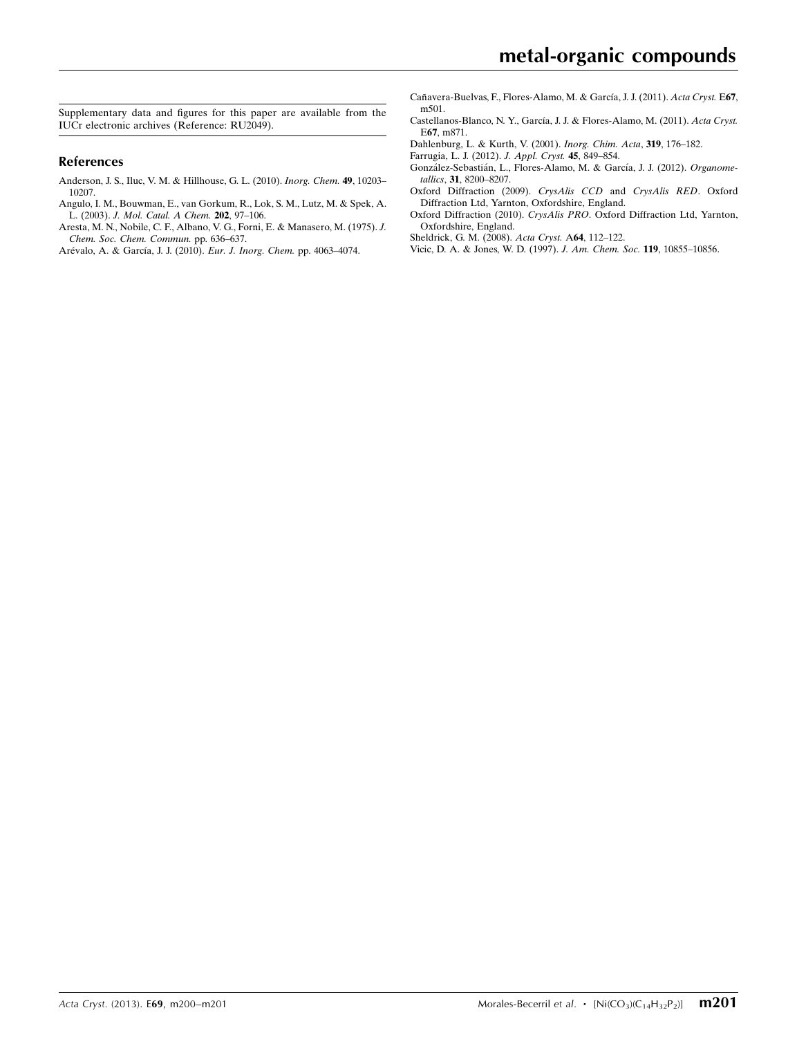Supplementary data and figures for this paper are available from the IUCr electronic archives (Reference: RU2049).

#### References

- [Anderson, J. S., Iluc, V. M. & Hillhouse, G. L. \(2010\).](https://scripts.iucr.org/cgi-bin/cr.cgi?rm=pdfbb&cnor=ru2049&bbid=BB1) Inorg. Chem. 49, 10203– [10207.](https://scripts.iucr.org/cgi-bin/cr.cgi?rm=pdfbb&cnor=ru2049&bbid=BB1)
- [Angulo, I. M., Bouwman, E., van Gorkum, R., Lok, S. M., Lutz, M. & Spek, A.](https://scripts.iucr.org/cgi-bin/cr.cgi?rm=pdfbb&cnor=ru2049&bbid=BB2) L. (2003). [J. Mol. Catal. A Chem.](https://scripts.iucr.org/cgi-bin/cr.cgi?rm=pdfbb&cnor=ru2049&bbid=BB2) 202, 97–106.
- [Aresta, M. N., Nobile, C. F., Albano, V. G., Forni, E. & Manasero, M. \(1975\).](https://scripts.iucr.org/cgi-bin/cr.cgi?rm=pdfbb&cnor=ru2049&bbid=BB3) J. [Chem. Soc. Chem. Commun.](https://scripts.iucr.org/cgi-bin/cr.cgi?rm=pdfbb&cnor=ru2049&bbid=BB3) pp. 636–637.
- Arévalo, A. & García, J. J. (2010). Eur. J. Inorg. Chem. pp. 4063-4074.
- Cañavera-Buelvas, F., Flores-Alamo, M. & García, J. J. (2011). Acta Cryst. E67, [m501.](https://scripts.iucr.org/cgi-bin/cr.cgi?rm=pdfbb&cnor=ru2049&bbid=BB5)
- Castellanos-Blanco, N. Y., García, J. J. & Flores-Alamo, M. (2011). Acta Cryst. E67[, m871.](https://scripts.iucr.org/cgi-bin/cr.cgi?rm=pdfbb&cnor=ru2049&bbid=BB6)
- [Dahlenburg, L. & Kurth, V. \(2001\).](https://scripts.iucr.org/cgi-bin/cr.cgi?rm=pdfbb&cnor=ru2049&bbid=BB7) Inorg. Chim. Acta, 319, 176–182.
- [Farrugia, L. J. \(2012\).](https://scripts.iucr.org/cgi-bin/cr.cgi?rm=pdfbb&cnor=ru2049&bbid=BB8) J. Appl. Cryst. 45, 849–854.
- González-Sebastián, L., Flores-Alamo, M. & García, J. J. (2012). Organometallics, 31[, 8200–8207.](https://scripts.iucr.org/cgi-bin/cr.cgi?rm=pdfbb&cnor=ru2049&bbid=BB10)
- [Oxford Diffraction \(2009\).](https://scripts.iucr.org/cgi-bin/cr.cgi?rm=pdfbb&cnor=ru2049&bbid=BB11) CrysAlis CCD and CrysAlis RED. Oxford [Diffraction Ltd, Yarnton, Oxfordshire, England.](https://scripts.iucr.org/cgi-bin/cr.cgi?rm=pdfbb&cnor=ru2049&bbid=BB11)
- Oxford Diffraction (2010). CrysAlis PRO[. Oxford Diffraction Ltd, Yarnton,](https://scripts.iucr.org/cgi-bin/cr.cgi?rm=pdfbb&cnor=ru2049&bbid=BB12) [Oxfordshire, England.](https://scripts.iucr.org/cgi-bin/cr.cgi?rm=pdfbb&cnor=ru2049&bbid=BB12)
- [Sheldrick, G. M. \(2008\).](https://scripts.iucr.org/cgi-bin/cr.cgi?rm=pdfbb&cnor=ru2049&bbid=BB13) Acta Cryst. A64, 112–122.
- [Vicic, D. A. & Jones, W. D. \(1997\).](https://scripts.iucr.org/cgi-bin/cr.cgi?rm=pdfbb&cnor=ru2049&bbid=BB14) J. Am. Chem. Soc. 119, 10855–10856.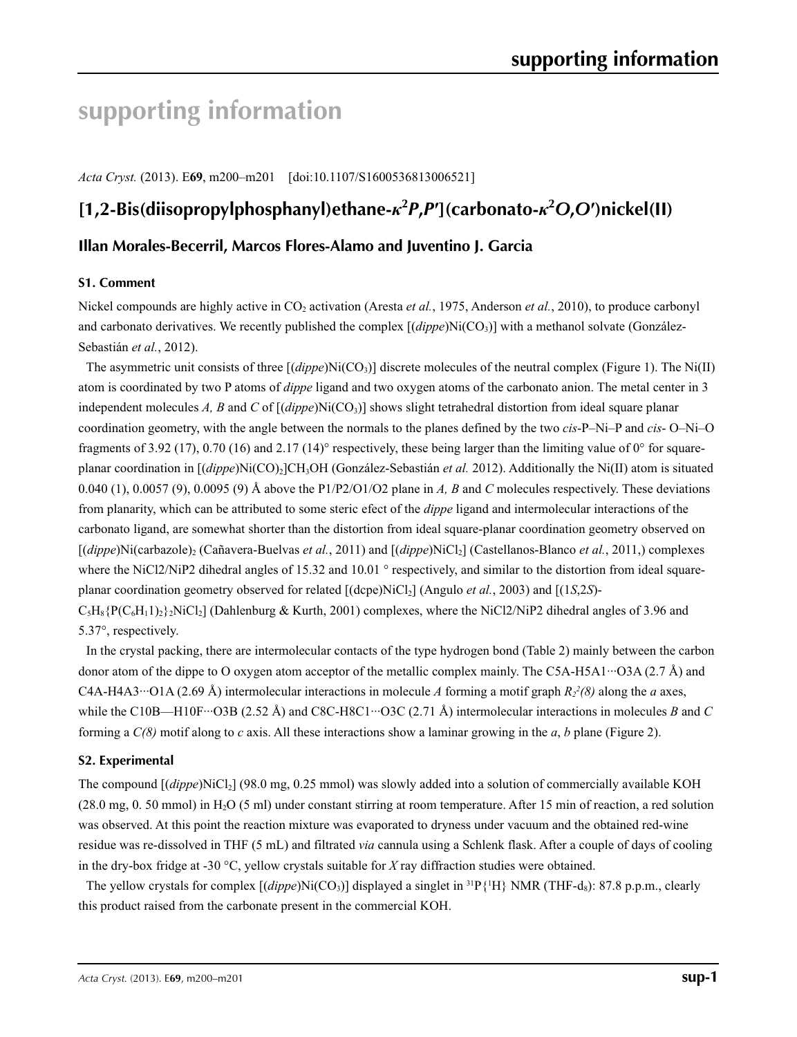# **supporting information**

*Acta Cryst.* (2013). E**69**, m200–m201 [doi:10.1107/S1600536813006521]

# **[1,2-Bis(diisopropylphosphanyl)ethane-***κ***<sup>2</sup>** *P***,***P***′](carbonato-***κ***<sup>2</sup>** *O***,***O***′)nickel(II)**

## **Illan Morales-Becerril, Marcos Flores-Alamo and Juventino J. Garcia**

#### **S1. Comment**

Nickel compounds are highly active in CO<sub>2</sub> activation (Aresta *et al.*, 1975, Anderson *et al.*, 2010), to produce carbonyl and carbonato derivatives. We recently published the complex  $[(dippe)Ni(CO<sub>3</sub>)]$  with a methanol solvate (González-Sebastián *et al.*, 2012).

The asymmetric unit consists of three  $[(dippe)Ni(CO<sub>3</sub>)]$  discrete molecules of the neutral complex (Figure 1). The Ni(II) atom is coordinated by two P atoms of *dippe* ligand and two oxygen atoms of the carbonato anion. The metal center in 3 independent molecules *A, B* and *C* of  $[(dippe)Ni(CO<sub>3</sub>)]$  shows slight tetrahedral distortion from ideal square planar coordination geometry, with the angle between the normals to the planes defined by the two *cis*-P–Ni–P and *cis*- O–Ni–O fragments of 3.92 (17), 0.70 (16) and 2.17 (14)° respectively, these being larger than the limiting value of 0° for squareplanar coordination in [(*dippe*)Ni(CO)2]CH3OH (González-Sebastián *et al.* 2012). Additionally the Ni(II) atom is situated 0.040 (1), 0.0057 (9), 0.0095 (9) Å above the P1/P2/O1/O2 plane in *A, B* and *C* molecules respectively. These deviations from planarity, which can be attributed to some steric efect of the *dippe* ligand and intermolecular interactions of the carbonato ligand, are somewhat shorter than the distortion from ideal square-planar coordination geometry observed on [(*dippe*)Ni(carbazole)<sub>2</sub> (Cañavera-Buelvas *et al.*, 2011) and [(*dippe*)NiCl<sub>2</sub>] (Castellanos-Blanco *et al.*, 2011,) complexes where the NiCl2/NiP2 dihedral angles of 15.32 and 10.01 ° respectively, and similar to the distortion from ideal squareplanar coordination geometry observed for related [(dcpe)NiCl2] (Angulo *et al.*, 2003) and [(1*S*,2*S*)-  $C_5H_8\{P(C_6H_11)_2\}$  (Dahlenburg & Kurth, 2001) complexes, where the NiCl2/NiP2 dihedral angles of 3.96 and 5.37°, respectively.

In the crystal packing, there are intermolecular contacts of the type hydrogen bond (Table 2) mainly between the carbon donor atom of the dippe to O oxygen atom acceptor of the metallic complex mainly. The C5A-H5A1···O3A (2.7 Å) and C4A-H4A3…O1A (2.69 Å) intermolecular interactions in molecule A forming a motif graph  $R_2^2(8)$  along the a axes, while the C10B—H10F···O3B (2.52 Å) and C8C-H8C1···O3C (2.71 Å) intermolecular interactions in molecules *B* and *C* forming a *C(8)* motif along to *c* axis. All these interactions show a laminar growing in the *a*, *b* plane (Figure 2).

### **S2. Experimental**

The compound [(*dippe*)NiCl2] (98.0 mg, 0.25 mmol) was slowly added into a solution of commercially available KOH (28.0 mg, 0. 50 mmol) in H2O (5 ml) under constant stirring at room temperature. After 15 min of reaction, a red solution was observed. At this point the reaction mixture was evaporated to dryness under vacuum and the obtained red-wine residue was re-dissolved in THF (5 mL) and filtrated *via* cannula using a Schlenk flask. After a couple of days of cooling in the dry-box fridge at -30 °C, yellow crystals suitable for *X* ray diffraction studies were obtained.

The yellow crystals for complex  $[(dippe)Ni(CO<sub>3</sub>)]$  displayed a singlet in  $^{31}P\{^1H\}$  NMR (THF-d<sub>8</sub>): 87.8 p.p.m., clearly this product raised from the carbonate present in the commercial KOH.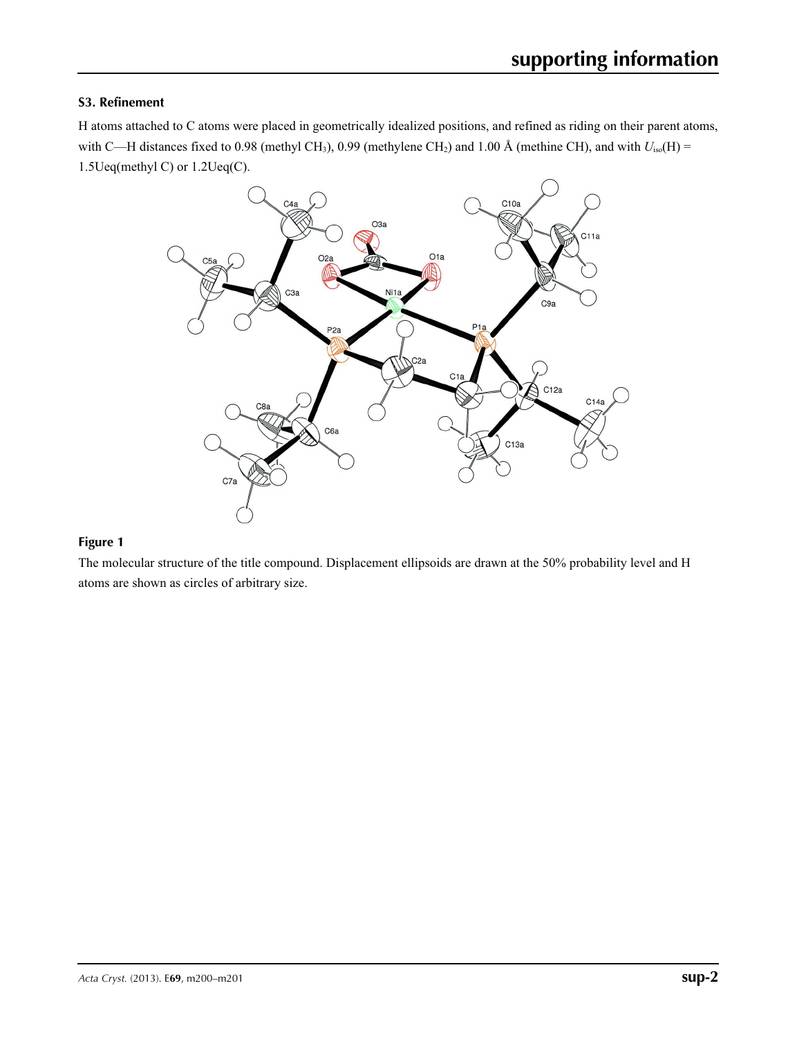### **S3. Refinement**

H atoms attached to C atoms were placed in geometrically idealized positions, and refined as riding on their parent atoms, with C—H distances fixed to 0.98 (methyl CH<sub>3</sub>), 0.99 (methylene CH<sub>2</sub>) and 1.00 Å (methine CH), and with  $U_{iso}(H)$  = 1.5Ueq(methyl C) or 1.2Ueq(C).



#### **Figure 1**

The molecular structure of the title compound. Displacement ellipsoids are drawn at the 50% probability level and H atoms are shown as circles of arbitrary size.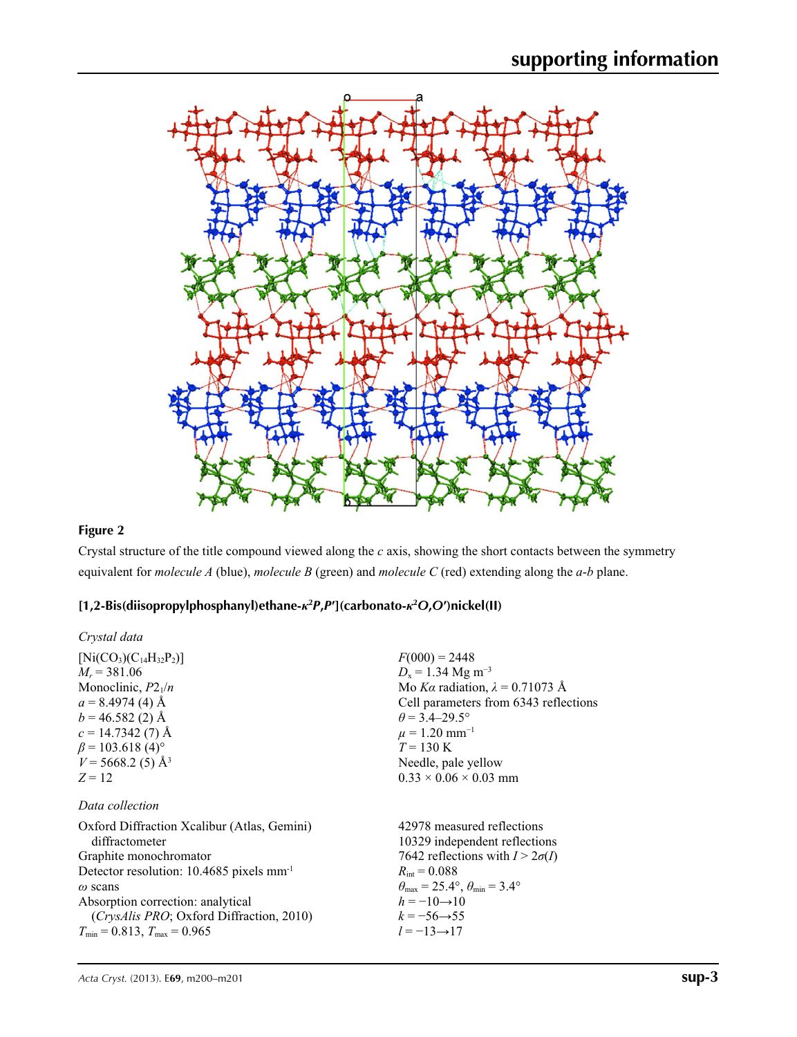

# **Figure 2**

Crystal structure of the title compound viewed along the *c* axis, showing the short contacts between the symmetry equivalent for *molecule A* (blue), *molecule B* (green) and *molecule C* (red) extending along the *a*-*b* plane.

## **[1,2-Bis(diisopropylphosphanyl)ethane-***κ***<sup>2</sup>** *P***,***P***′](carbonato-***κ***<sup>2</sup>** *O***,***O***′)nickel(II)**

| Crystal data                                           |                                                       |
|--------------------------------------------------------|-------------------------------------------------------|
| $[Ni(CO_3)(C_{14}H_{32}P_2)]$                          | $F(000) = 2448$                                       |
| $M_r = 381.06$                                         | $D_x = 1.34$ Mg m <sup>-3</sup>                       |
| Monoclinic, $P2_1/n$                                   | Mo Ka radiation, $\lambda = 0.71073$ Å                |
| $a = 8.4974(4)$ Å                                      | Cell parameters from 6343 reflections                 |
| $b = 46.582(2)$ Å                                      | $\theta$ = 3.4–29.5°                                  |
| $c = 14.7342(7)$ Å                                     | $\mu = 1.20$ mm <sup>-1</sup>                         |
| $\beta$ = 103.618 (4) <sup>o</sup>                     | $T = 130 \text{ K}$                                   |
| $V = 5668.2(5)$ Å <sup>3</sup>                         | Needle, pale yellow                                   |
| $Z = 12$                                               | $0.33 \times 0.06 \times 0.03$ mm                     |
| Data collection                                        |                                                       |
| Oxford Diffraction Xcalibur (Atlas, Gemini)            | 42978 measured reflections                            |
| diffractometer                                         | 10329 independent reflections                         |
| Graphite monochromator                                 | 7642 reflections with $I > 2\sigma(I)$                |
| Detector resolution: $10.4685$ pixels mm <sup>-1</sup> | $R_{\rm int} = 0.088$                                 |
| $\omega$ scans                                         | $\theta_{\rm max}$ = 25.4°, $\theta_{\rm min}$ = 3.4° |
| Absorption correction: analytical                      | $h = -10 \rightarrow 10$                              |
| <i>(CrysAlis PRO</i> ; Oxford Diffraction, 2010)       | $k = -56 \rightarrow 55$                              |
| $T_{\min} = 0.813$ , $T_{\max} = 0.965$                | $l = -13 \rightarrow 17$                              |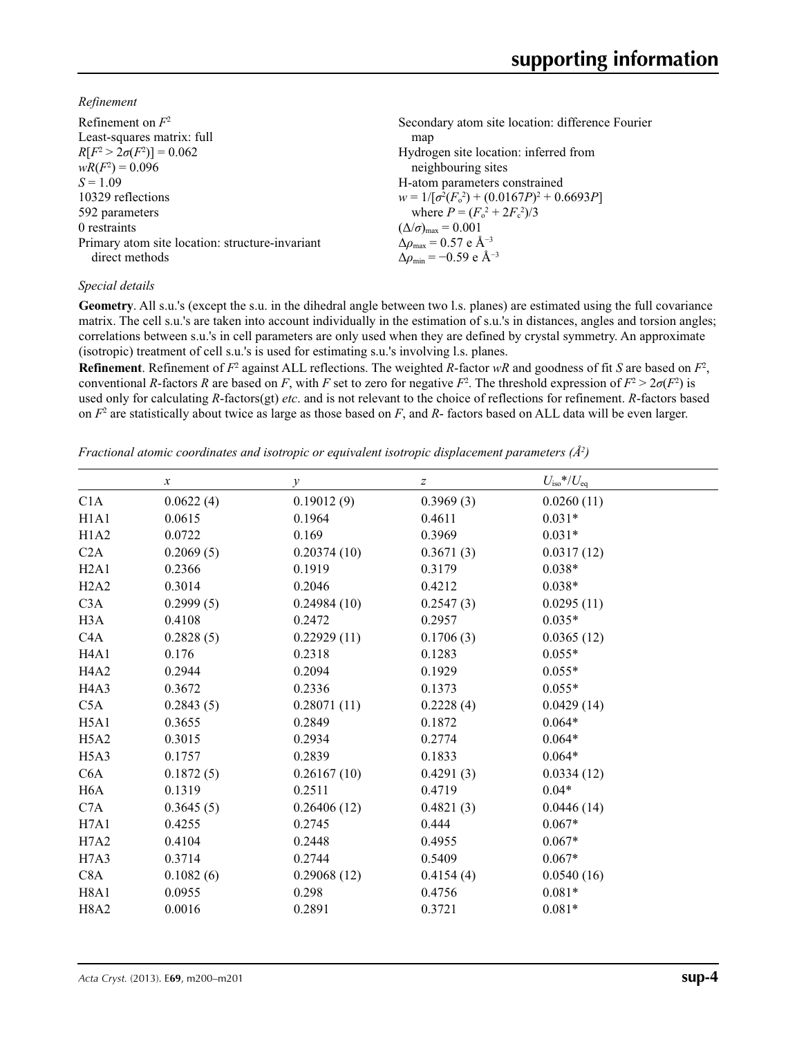*Refinement*

| Refinement on $F^2$                             | Secondary atom site location: difference Fourier   |
|-------------------------------------------------|----------------------------------------------------|
| Least-squares matrix: full                      | map                                                |
| $R[F^2 > 2\sigma(F^2)] = 0.062$                 | Hydrogen site location: inferred from              |
| $wR(F^2) = 0.096$                               | neighbouring sites                                 |
| $S = 1.09$                                      | H-atom parameters constrained                      |
| 10329 reflections                               | $w = 1/[\sigma^2(F_0^2) + (0.0167P)^2 + 0.6693P]$  |
| 592 parameters                                  | where $P = (F_o^2 + 2F_c^2)/3$                     |
| 0 restraints                                    | $(\Delta/\sigma)_{\text{max}} = 0.001$             |
| Primary atom site location: structure-invariant | $\Delta\rho_{\text{max}} = 0.57$ e Å <sup>-3</sup> |
| direct methods                                  | $\Delta\rho_{\rm min} = -0.59$ e Å <sup>-3</sup>   |

### *Special details*

**Geometry**. All s.u.'s (except the s.u. in the dihedral angle between two l.s. planes) are estimated using the full covariance matrix. The cell s.u.'s are taken into account individually in the estimation of s.u.'s in distances, angles and torsion angles; correlations between s.u.'s in cell parameters are only used when they are defined by crystal symmetry. An approximate (isotropic) treatment of cell s.u.'s is used for estimating s.u.'s involving l.s. planes.

**Refinement**. Refinement of  $F^2$  against ALL reflections. The weighted  $R$ -factor  $wR$  and goodness of fit  $S$  are based on  $F^2$ , conventional *R*-factors *R* are based on *F*, with *F* set to zero for negative *F*<sup>2</sup>. The threshold expression of  $F^2 > 2\sigma(F^2)$  is used only for calculating *R*-factors(gt) *etc*. and is not relevant to the choice of reflections for refinement. *R*-factors based on *F*<sup>2</sup> are statistically about twice as large as those based on *F*, and *R*- factors based on ALL data will be even larger.

*Fractional atomic coordinates and isotropic or equivalent isotropic displacement parameters (Å<sup>2</sup>)* 

|                               | $\boldsymbol{\chi}$ | $\mathcal{Y}$ | $\boldsymbol{Z}$ | $U_{\rm iso}*/U_{\rm eq}$ |  |
|-------------------------------|---------------------|---------------|------------------|---------------------------|--|
| C1A                           | 0.0622(4)           | 0.19012(9)    | 0.3969(3)        | 0.0260(11)                |  |
| H1A1                          | 0.0615              | 0.1964        | 0.4611           | $0.031*$                  |  |
| H1A2                          | 0.0722              | 0.169         | 0.3969           | $0.031*$                  |  |
| C2A                           | 0.2069(5)           | 0.20374(10)   | 0.3671(3)        | 0.0317(12)                |  |
| H2A1                          | 0.2366              | 0.1919        | 0.3179           | $0.038*$                  |  |
| H2A2                          | 0.3014              | 0.2046        | 0.4212           | $0.038*$                  |  |
| C3A                           | 0.2999(5)           | 0.24984(10)   | 0.2547(3)        | 0.0295(11)                |  |
| H3A                           | 0.4108              | 0.2472        | 0.2957           | $0.035*$                  |  |
| C <sub>4</sub> A              | 0.2828(5)           | 0.22929(11)   | 0.1706(3)        | 0.0365(12)                |  |
| H <sub>4</sub> A <sub>1</sub> | 0.176               | 0.2318        | 0.1283           | $0.055*$                  |  |
| H <sub>4</sub> A <sub>2</sub> | 0.2944              | 0.2094        | 0.1929           | $0.055*$                  |  |
| H <sub>4</sub> A <sub>3</sub> | 0.3672              | 0.2336        | 0.1373           | $0.055*$                  |  |
| C5A                           | 0.2843(5)           | 0.28071(11)   | 0.2228(4)        | 0.0429(14)                |  |
| H5A1                          | 0.3655              | 0.2849        | 0.1872           | $0.064*$                  |  |
| H <sub>5</sub> A <sub>2</sub> | 0.3015              | 0.2934        | 0.2774           | $0.064*$                  |  |
| H5A3                          | 0.1757              | 0.2839        | 0.1833           | $0.064*$                  |  |
| C6A                           | 0.1872(5)           | 0.26167(10)   | 0.4291(3)        | 0.0334(12)                |  |
| H <sub>6</sub> A              | 0.1319              | 0.2511        | 0.4719           | $0.04*$                   |  |
| C7A                           | 0.3645(5)           | 0.26406(12)   | 0.4821(3)        | 0.0446(14)                |  |
| H7A1                          | 0.4255              | 0.2745        | 0.444            | $0.067*$                  |  |
| H7A2                          | 0.4104              | 0.2448        | 0.4955           | $0.067*$                  |  |
| H7A3                          | 0.3714              | 0.2744        | 0.5409           | $0.067*$                  |  |
| C8A                           | 0.1082(6)           | 0.29068(12)   | 0.4154(4)        | 0.0540(16)                |  |
| H8A1                          | 0.0955              | 0.298         | 0.4756           | $0.081*$                  |  |
| <b>H8A2</b>                   | 0.0016              | 0.2891        | 0.3721           | $0.081*$                  |  |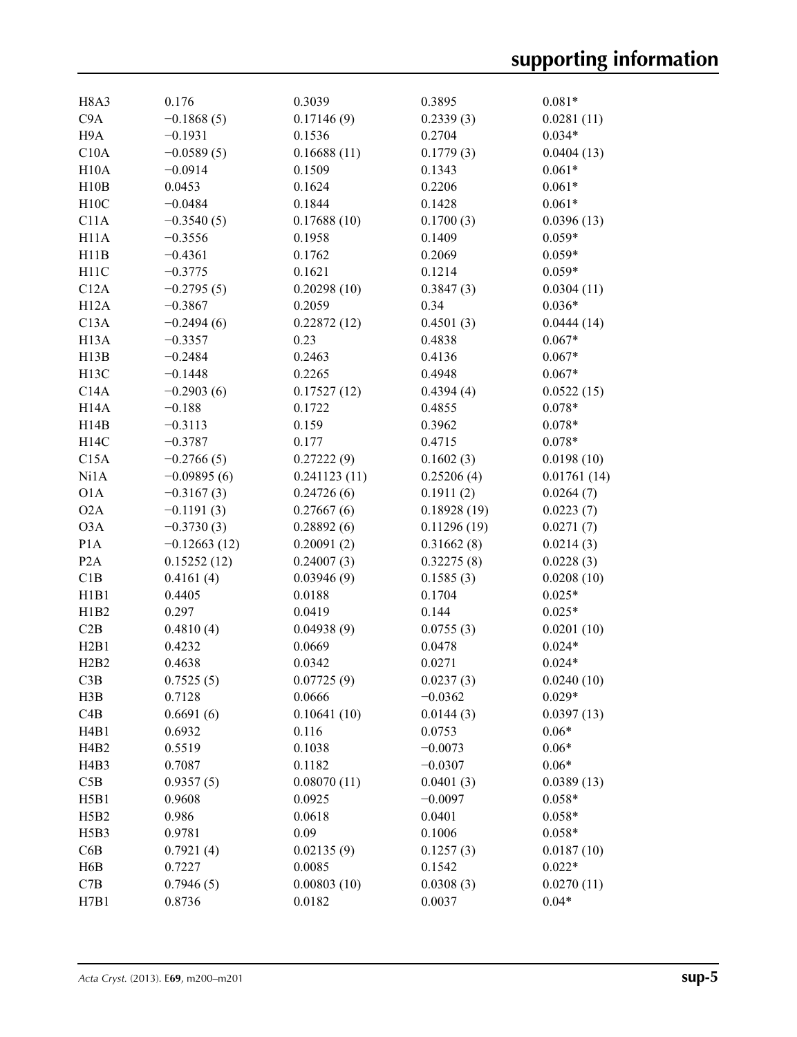| H <sub>8</sub> A <sub>3</sub> | 0.176          | 0.3039       | 0.3895      | $0.081*$    |
|-------------------------------|----------------|--------------|-------------|-------------|
| C9A                           | $-0.1868(5)$   | 0.17146(9)   | 0.2339(3)   | 0.0281(11)  |
| H <sub>9</sub> A              | $-0.1931$      | 0.1536       | 0.2704      | $0.034*$    |
| C10A                          | $-0.0589(5)$   | 0.16688(11)  | 0.1779(3)   | 0.0404(13)  |
| H10A                          | $-0.0914$      | 0.1509       | 0.1343      | $0.061*$    |
| H10B                          | 0.0453         | 0.1624       | 0.2206      | $0.061*$    |
| H10C                          | $-0.0484$      | 0.1844       | 0.1428      | $0.061*$    |
| C11A                          | $-0.3540(5)$   | 0.17688(10)  | 0.1700(3)   | 0.0396(13)  |
| H <sub>11</sub> A             | $-0.3556$      | 0.1958       | 0.1409      | $0.059*$    |
| H11B                          | $-0.4361$      | 0.1762       | 0.2069      | $0.059*$    |
| H11C                          | $-0.3775$      | 0.1621       | 0.1214      | $0.059*$    |
| C12A                          | $-0.2795(5)$   | 0.20298(10)  | 0.3847(3)   | 0.0304(11)  |
| H12A                          | $-0.3867$      | 0.2059       | 0.34        | $0.036*$    |
| C13A                          | $-0.2494(6)$   | 0.22872(12)  | 0.4501(3)   | 0.0444(14)  |
| H <sub>13</sub> A             | $-0.3357$      | 0.23         | 0.4838      | $0.067*$    |
| H13B                          | $-0.2484$      | 0.2463       | 0.4136      | $0.067*$    |
| H <sub>13</sub> C             | $-0.1448$      | 0.2265       | 0.4948      | $0.067*$    |
| C14A                          | $-0.2903(6)$   | 0.17527(12)  | 0.4394(4)   | 0.0522(15)  |
|                               |                | 0.1722       |             | $0.078*$    |
| H <sub>14</sub> A             | $-0.188$       |              | 0.4855      |             |
| H14B                          | $-0.3113$      | 0.159        | 0.3962      | $0.078*$    |
| H14C                          | $-0.3787$      | 0.177        | 0.4715      | $0.078*$    |
| C15A                          | $-0.2766(5)$   | 0.27222(9)   | 0.1602(3)   | 0.0198(10)  |
| Ni1A                          | $-0.09895(6)$  | 0.241123(11) | 0.25206(4)  | 0.01761(14) |
| O1A                           | $-0.3167(3)$   | 0.24726(6)   | 0.1911(2)   | 0.0264(7)   |
| O2A                           | $-0.1191(3)$   | 0.27667(6)   | 0.18928(19) | 0.0223(7)   |
| O3A                           | $-0.3730(3)$   | 0.28892(6)   | 0.11296(19) | 0.0271(7)   |
| P <sub>1</sub> A              | $-0.12663(12)$ | 0.20091(2)   | 0.31662(8)  | 0.0214(3)   |
| P <sub>2</sub> A              | 0.15252(12)    | 0.24007(3)   | 0.32275(8)  | 0.0228(3)   |
| C1B                           | 0.4161(4)      | 0.03946(9)   | 0.1585(3)   | 0.0208(10)  |
| H1B1                          | 0.4405         | 0.0188       | 0.1704      | $0.025*$    |
| H1B2                          | 0.297          | 0.0419       | 0.144       | $0.025*$    |
| C2B                           | 0.4810(4)      | 0.04938(9)   | 0.0755(3)   | 0.0201(10)  |
| H2B1                          | 0.4232         | 0.0669       | 0.0478      | $0.024*$    |
| H2B2                          | 0.4638         | 0.0342       | 0.0271      | $0.024*$    |
| C3B                           | 0.7525(5)      | 0.07725(9)   | 0.0237(3)   | 0.0240(10)  |
| H3B                           | 0.7128         | 0.0666       | $-0.0362$   | $0.029*$    |
| C4B                           | 0.6691(6)      | 0.10641(10)  | 0.0144(3)   | 0.0397(13)  |
| H4B1                          | 0.6932         | 0.116        | 0.0753      | $0.06*$     |
| H <sub>4</sub> B <sub>2</sub> | 0.5519         | 0.1038       | $-0.0073$   | $0.06*$     |
| H <sub>4</sub> B <sub>3</sub> | 0.7087         | 0.1182       | $-0.0307$   | $0.06*$     |
| C5B                           | 0.9357(5)      | 0.08070(11)  | 0.0401(3)   | 0.0389(13)  |
| H5B1                          | 0.9608         | 0.0925       | $-0.0097$   | $0.058*$    |
| H5B2                          | 0.986          | 0.0618       | 0.0401      | $0.058*$    |
| H <sub>5</sub> B <sub>3</sub> | 0.9781         | 0.09         | 0.1006      | $0.058*$    |
| C6B                           | 0.7921(4)      | 0.02135(9)   | 0.1257(3)   | 0.0187(10)  |
| H6B                           | 0.7227         | 0.0085       | 0.1542      | $0.022*$    |
| C7B                           | 0.7946(5)      | 0.00803(10)  | 0.0308(3)   | 0.0270(11)  |
| H7B1                          | 0.8736         | 0.0182       | 0.0037      | $0.04*$     |
|                               |                |              |             |             |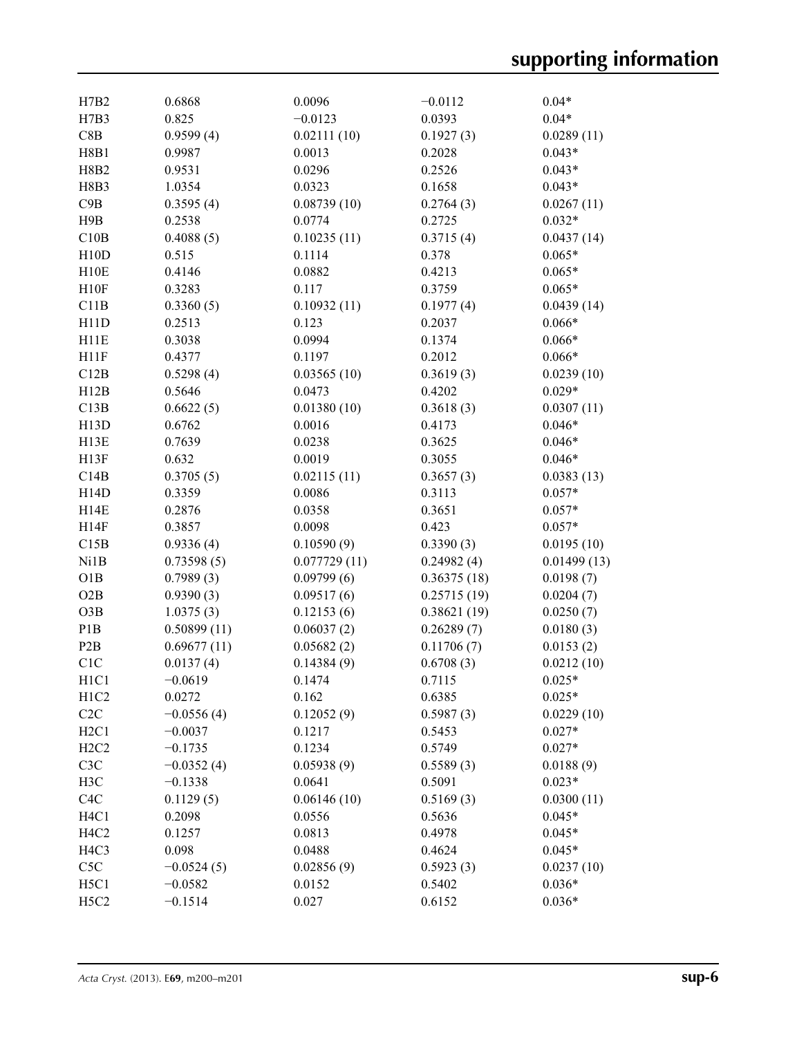| H7B2                          | 0.6868                    | 0.0096               | $-0.0112$           | $0.04*$              |
|-------------------------------|---------------------------|----------------------|---------------------|----------------------|
| H7B3                          | 0.825                     | $-0.0123$            | 0.0393              | $0.04*$              |
| C8B                           | 0.9599(4)                 | 0.02111(10)          | 0.1927(3)           | 0.0289(11)           |
| <b>H8B1</b>                   | 0.9987                    | 0.0013               | 0.2028              | $0.043*$             |
| <b>H8B2</b>                   | 0.9531                    | 0.0296               | 0.2526              | $0.043*$             |
| H8B3                          | 1.0354                    | 0.0323               | 0.1658              | $0.043*$             |
| C9B                           | 0.3595(4)                 | 0.08739(10)          | 0.2764(3)           | 0.0267(11)           |
| H9B                           | 0.2538                    | 0.0774               | 0.2725              | $0.032*$             |
| C10B                          | 0.4088(5)                 | 0.10235(11)          | 0.3715(4)           | 0.0437(14)           |
| H10D                          | 0.515                     | 0.1114               | 0.378               | $0.065*$             |
| H10E                          | 0.4146                    | 0.0882               | 0.4213              | $0.065*$             |
| H10F                          | 0.3283                    | 0.117                | 0.3759              | $0.065*$             |
| C11B                          | 0.3360(5)                 | 0.10932(11)          | 0.1977(4)           | 0.0439(14)           |
| H11D                          | 0.2513                    | 0.123                | 0.2037              | $0.066*$             |
| H11E                          | 0.3038                    | 0.0994               | 0.1374              | $0.066*$             |
| H11F                          | 0.4377                    | 0.1197               | 0.2012              | $0.066*$             |
| C12B                          | 0.5298(4)                 | 0.03565(10)          | 0.3619(3)           | 0.0239(10)           |
| H12B                          | 0.5646                    | 0.0473               | 0.4202              | $0.029*$             |
| C13B                          | 0.6622(5)                 | 0.01380(10)          | 0.3618(3)           | 0.0307(11)           |
| H13D                          | 0.6762                    | 0.0016               | 0.4173              | $0.046*$             |
| H <sub>13</sub> E             | 0.7639                    | 0.0238               | 0.3625              | $0.046*$             |
| H13F                          | 0.632                     | 0.0019               | 0.3055              | $0.046*$             |
| C14B                          | 0.3705(5)                 | 0.02115(11)          | 0.3657(3)           | 0.0383(13)           |
| H14D                          | 0.3359                    | 0.0086               | 0.3113              | $0.057*$             |
| H14E                          | 0.2876                    | 0.0358               | 0.3651              | $0.057*$             |
| H14F                          | 0.3857                    | 0.0098               | 0.423               | $0.057*$             |
| C15B                          | 0.9336(4)                 | 0.10590(9)           | 0.3390(3)           | 0.0195(10)           |
| Ni1B                          | 0.73598(5)                | 0.077729(11)         | 0.24982(4)          | 0.01499(13)          |
| O1B                           | 0.7989(3)                 | 0.09799(6)           | 0.36375(18)         | 0.0198(7)            |
| O2B                           | 0.9390(3)                 | 0.09517(6)           | 0.25715(19)         | 0.0204(7)            |
| O3B                           | 1.0375(3)                 | 0.12153(6)           | 0.38621(19)         | 0.0250(7)            |
| P <sub>1</sub> B              | 0.50899(11)               | 0.06037(2)           | 0.26289(7)          | 0.0180(3)            |
| P <sub>2</sub> B              | 0.69677(11)               | 0.05682(2)           | 0.11706(7)          | 0.0153(2)            |
| C <sub>1</sub> C              | 0.0137(4)                 | 0.14384(9)           | 0.6708(3)           | 0.0212(10)           |
| H <sub>1</sub> C <sub>1</sub> | $-0.0619$                 | 0.1474               | 0.7115              |                      |
| H <sub>1</sub> C <sub>2</sub> | 0.0272                    | 0.162                | 0.6385              | $0.025*$<br>$0.025*$ |
| C2C                           | $-0.0556(4)$              |                      | 0.5987(3)           | 0.0229(10)           |
| H2C1                          | $-0.0037$                 | 0.12052(9)<br>0.1217 | 0.5453              | $0.027*$             |
| H2C2                          |                           | 0.1234               | 0.5749              |                      |
|                               | $-0.1735$<br>$-0.0352(4)$ |                      |                     | $0.027*$             |
| C3C                           |                           | 0.05938(9)           | 0.5589(3)<br>0.5091 | 0.0188(9)            |
| H3C                           | $-0.1338$                 | 0.0641               |                     | $0.023*$             |
| C <sub>4</sub> C              | 0.1129(5)                 | 0.06146(10)          | 0.5169(3)           | 0.0300(11)           |
| H <sub>4</sub> C <sub>1</sub> | 0.2098                    | 0.0556               | 0.5636              | $0.045*$             |
| H <sub>4</sub> C <sub>2</sub> | 0.1257                    | 0.0813               | 0.4978              | $0.045*$             |
| H <sub>4C</sub> 3             | 0.098                     | 0.0488               | 0.4624              | $0.045*$             |
| C5C                           | $-0.0524(5)$              | 0.02856(9)           | 0.5923(3)           | 0.0237(10)           |
| H5C1                          | $-0.0582$                 | 0.0152               | 0.5402              | $0.036*$             |
| H <sub>5</sub> C <sub>2</sub> | $-0.1514$                 | 0.027                | 0.6152              | $0.036*$             |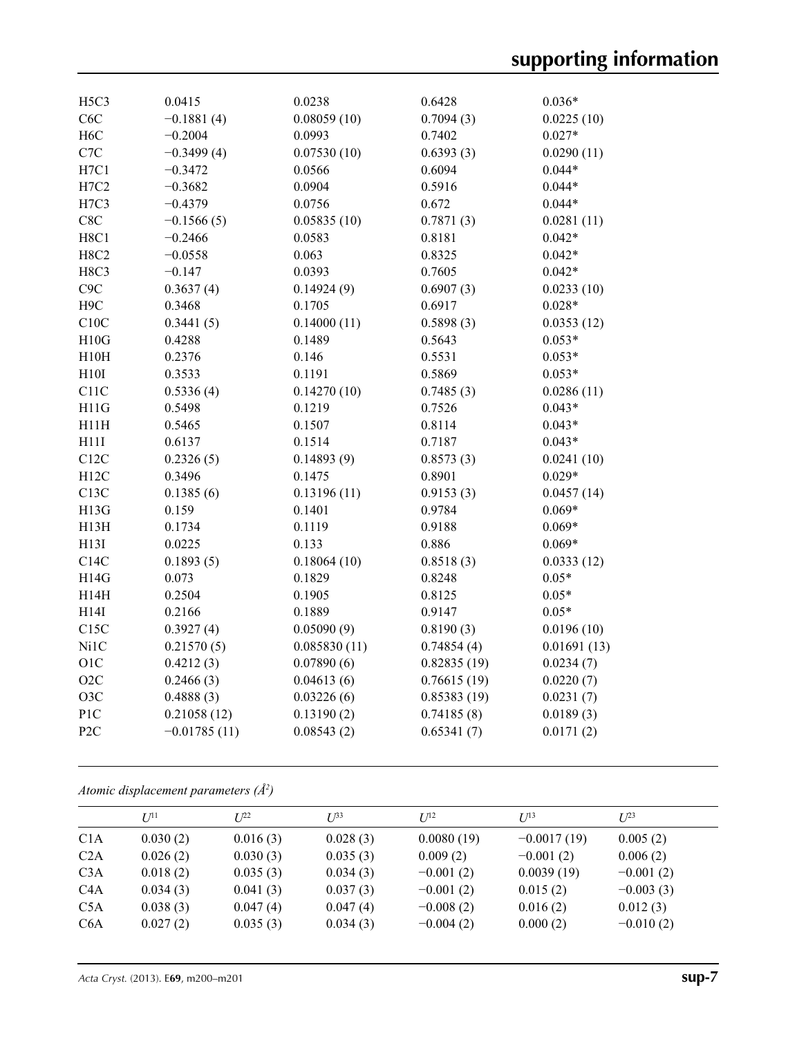| H <sub>5</sub> C <sub>3</sub> | 0.0415         | 0.0238       | 0.6428      | $0.036*$    |
|-------------------------------|----------------|--------------|-------------|-------------|
| C <sub>6</sub> C              | $-0.1881(4)$   | 0.08059(10)  | 0.7094(3)   | 0.0225(10)  |
| H <sub>6</sub> C              | $-0.2004$      | 0.0993       | 0.7402      | $0.027*$    |
| C7C                           | $-0.3499(4)$   | 0.07530(10)  | 0.6393(3)   | 0.0290(11)  |
| H7C1                          | $-0.3472$      | 0.0566       | 0.6094      | $0.044*$    |
| H7C2                          | $-0.3682$      | 0.0904       | 0.5916      | $0.044*$    |
| H7C3                          | $-0.4379$      | 0.0756       | 0.672       | $0.044*$    |
| C8C                           | $-0.1566(5)$   | 0.05835(10)  | 0.7871(3)   | 0.0281(11)  |
| H8C1                          | $-0.2466$      | 0.0583       | 0.8181      | $0.042*$    |
| <b>H8C2</b>                   | $-0.0558$      | 0.063        | 0.8325      | $0.042*$    |
| H8C3                          | $-0.147$       | 0.0393       | 0.7605      | $0.042*$    |
| C <sub>9</sub> C              | 0.3637(4)      | 0.14924(9)   | 0.6907(3)   | 0.0233(10)  |
| H <sub>9</sub> C              | 0.3468         | 0.1705       | 0.6917      | $0.028*$    |
| C10C                          | 0.3441(5)      | 0.14000(11)  | 0.5898(3)   | 0.0353(12)  |
| H10G                          | 0.4288         | 0.1489       | 0.5643      | $0.053*$    |
| H10H                          | 0.2376         | 0.146        | 0.5531      | $0.053*$    |
| H10I                          | 0.3533         | 0.1191       | 0.5869      | $0.053*$    |
| C11C                          | 0.5336(4)      | 0.14270(10)  | 0.7485(3)   | 0.0286(11)  |
| H11G                          | 0.5498         | 0.1219       | 0.7526      | $0.043*$    |
| H11H                          | 0.5465         | 0.1507       | 0.8114      | $0.043*$    |
| H11I                          | 0.6137         | 0.1514       | 0.7187      | $0.043*$    |
| C12C                          | 0.2326(5)      | 0.14893(9)   | 0.8573(3)   | 0.0241(10)  |
| H12C                          | 0.3496         | 0.1475       | 0.8901      | $0.029*$    |
| C13C                          | 0.1385(6)      | 0.13196(11)  | 0.9153(3)   | 0.0457(14)  |
| H13G                          | 0.159          | 0.1401       | 0.9784      | $0.069*$    |
| H13H                          | 0.1734         | 0.1119       | 0.9188      | $0.069*$    |
| H13I                          | 0.0225         | 0.133        | 0.886       | $0.069*$    |
| C14C                          | 0.1893(5)      | 0.18064(10)  | 0.8518(3)   | 0.0333(12)  |
| H14G                          | 0.073          | 0.1829       | 0.8248      | $0.05*$     |
| H14H                          | 0.2504         | 0.1905       | 0.8125      | $0.05*$     |
| H14I                          | 0.2166         | 0.1889       | 0.9147      | $0.05*$     |
| C15C                          | 0.3927(4)      | 0.05090(9)   | 0.8190(3)   | 0.0196(10)  |
| Ni1C                          | 0.21570(5)     | 0.085830(11) | 0.74854(4)  | 0.01691(13) |
| O1C                           | 0.4212(3)      | 0.07890(6)   | 0.82835(19) | 0.0234(7)   |
| O2C                           | 0.2466(3)      | 0.04613(6)   | 0.76615(19) | 0.0220(7)   |
| O <sub>3</sub> C              | 0.4888(3)      | 0.03226(6)   | 0.85383(19) | 0.0231(7)   |
| P1C                           | 0.21058(12)    | 0.13190(2)   | 0.74185(8)  | 0.0189(3)   |
| P <sub>2C</sub>               | $-0.01785(11)$ | 0.08543(2)   | 0.65341(7)  | 0.0171(2)   |
|                               |                |              |             |             |

*Atomic displacement parameters (Å2 )*

|                  | $U^{11}$ | $L^{22}$ | $I^{\beta 3}$ | $U^{12}$    | $U^{13}$      | $L^{23}$    |
|------------------|----------|----------|---------------|-------------|---------------|-------------|
| C <sub>1</sub> A | 0.030(2) | 0.016(3) | 0.028(3)      | 0.0080(19)  | $-0.0017(19)$ | 0.005(2)    |
| C2A              | 0.026(2) | 0.030(3) | 0.035(3)      | 0.009(2)    | $-0.001(2)$   | 0.006(2)    |
| C3A              | 0.018(2) | 0.035(3) | 0.034(3)      | $-0.001(2)$ | 0.0039(19)    | $-0.001(2)$ |
| C <sub>4</sub> A | 0.034(3) | 0.041(3) | 0.037(3)      | $-0.001(2)$ | 0.015(2)      | $-0.003(3)$ |
| C5A              | 0.038(3) | 0.047(4) | 0.047(4)      | $-0.008(2)$ | 0.016(2)      | 0.012(3)    |
| C <sub>6</sub> A | 0.027(2) | 0.035(3) | 0.034(3)      | $-0.004(2)$ | 0.000(2)      | $-0.010(2)$ |
|                  |          |          |               |             |               |             |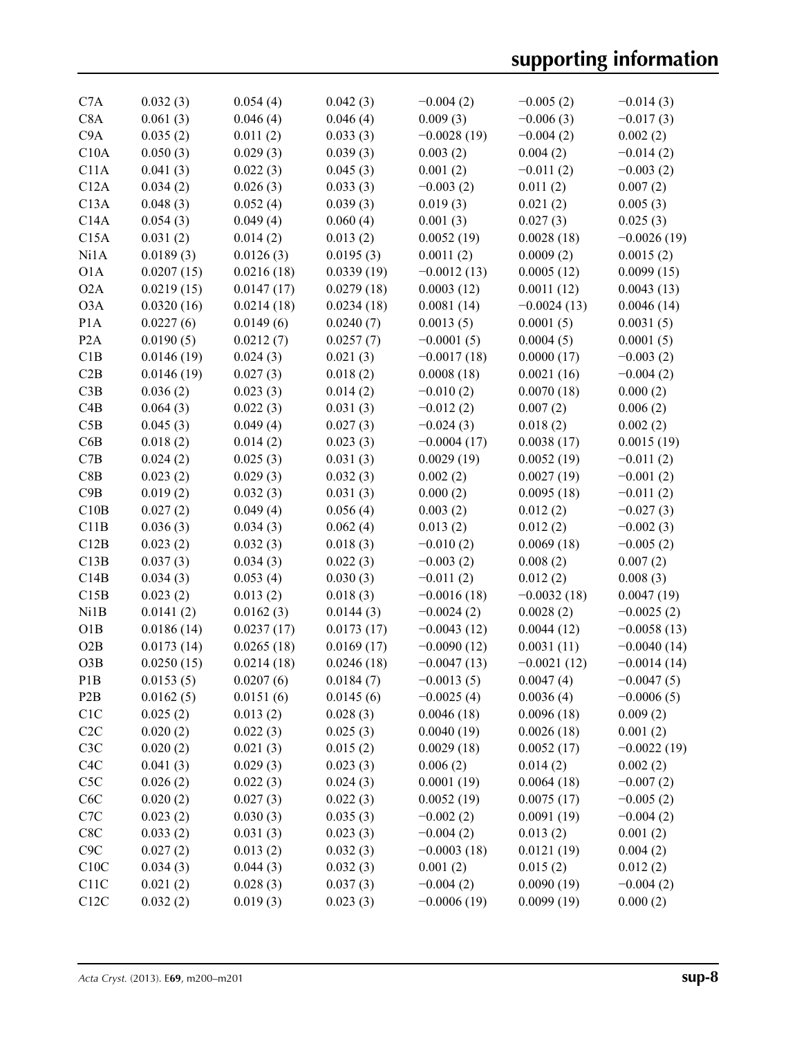| C <sub>7</sub> A | 0.032(3)   | 0.054(4)   | 0.042(3)   | $-0.004(2)$   | $-0.005(2)$   | $-0.014(3)$   |
|------------------|------------|------------|------------|---------------|---------------|---------------|
| C8A              | 0.061(3)   | 0.046(4)   | 0.046(4)   | 0.009(3)      | $-0.006(3)$   | $-0.017(3)$   |
| C9A              | 0.035(2)   | 0.011(2)   | 0.033(3)   | $-0.0028(19)$ | $-0.004(2)$   | 0.002(2)      |
| C10A             | 0.050(3)   | 0.029(3)   | 0.039(3)   | 0.003(2)      | 0.004(2)      | $-0.014(2)$   |
| C11A             | 0.041(3)   | 0.022(3)   | 0.045(3)   | 0.001(2)      | $-0.011(2)$   | $-0.003(2)$   |
| C12A             | 0.034(2)   | 0.026(3)   | 0.033(3)   | $-0.003(2)$   | 0.011(2)      | 0.007(2)      |
| C13A             | 0.048(3)   | 0.052(4)   | 0.039(3)   | 0.019(3)      | 0.021(2)      | 0.005(3)      |
| C14A             | 0.054(3)   | 0.049(4)   | 0.060(4)   | 0.001(3)      | 0.027(3)      | 0.025(3)      |
| C15A             | 0.031(2)   | 0.014(2)   | 0.013(2)   | 0.0052(19)    | 0.0028(18)    | $-0.0026(19)$ |
| Ni1A             | 0.0189(3)  | 0.0126(3)  | 0.0195(3)  | 0.0011(2)     | 0.0009(2)     | 0.0015(2)     |
| O1A              | 0.0207(15) | 0.0216(18) | 0.0339(19) | $-0.0012(13)$ | 0.0005(12)    | 0.0099(15)    |
| O2A              | 0.0219(15) | 0.0147(17) | 0.0279(18) | 0.0003(12)    | 0.0011(12)    | 0.0043(13)    |
| O3A              | 0.0320(16) | 0.0214(18) | 0.0234(18) | 0.0081(14)    | $-0.0024(13)$ | 0.0046(14)    |
| P1A              | 0.0227(6)  | 0.0149(6)  | 0.0240(7)  | 0.0013(5)     | 0.0001(5)     | 0.0031(5)     |
| P <sub>2</sub> A | 0.0190(5)  | 0.0212(7)  | 0.0257(7)  | $-0.0001(5)$  | 0.0004(5)     | 0.0001(5)     |
| C1B              | 0.0146(19) | 0.024(3)   | 0.021(3)   | $-0.0017(18)$ | 0.0000(17)    | $-0.003(2)$   |
| C2B              | 0.0146(19) | 0.027(3)   | 0.018(2)   | 0.0008(18)    | 0.0021(16)    | $-0.004(2)$   |
| C3B              | 0.036(2)   | 0.023(3)   | 0.014(2)   | $-0.010(2)$   | 0.0070(18)    | 0.000(2)      |
| C4B              | 0.064(3)   | 0.022(3)   | 0.031(3)   | $-0.012(2)$   | 0.007(2)      | 0.006(2)      |
| C5B              | 0.045(3)   | 0.049(4)   | 0.027(3)   | $-0.024(3)$   | 0.018(2)      | 0.002(2)      |
| C6B              | 0.018(2)   | 0.014(2)   | 0.023(3)   | $-0.0004(17)$ | 0.0038(17)    | 0.0015(19)    |
| C7B              | 0.024(2)   | 0.025(3)   | 0.031(3)   | 0.0029(19)    | 0.0052(19)    | $-0.011(2)$   |
| C8B              | 0.023(2)   | 0.029(3)   | 0.032(3)   | 0.002(2)      | 0.0027(19)    | $-0.001(2)$   |
| C9B              | 0.019(2)   | 0.032(3)   | 0.031(3)   | 0.000(2)      | 0.0095(18)    | $-0.011(2)$   |
| C10B             |            | 0.049(4)   | 0.056(4)   | 0.003(2)      |               |               |
|                  | 0.027(2)   |            |            |               | 0.012(2)      | $-0.027(3)$   |
| C11B             | 0.036(3)   | 0.034(3)   | 0.062(4)   | 0.013(2)      | 0.012(2)      | $-0.002(3)$   |
| C12B             | 0.023(2)   | 0.032(3)   | 0.018(3)   | $-0.010(2)$   | 0.0069(18)    | $-0.005(2)$   |
| C13B             | 0.037(3)   | 0.034(3)   | 0.022(3)   | $-0.003(2)$   | 0.008(2)      | 0.007(2)      |
| C14B             | 0.034(3)   | 0.053(4)   | 0.030(3)   | $-0.011(2)$   | 0.012(2)      | 0.008(3)      |
| C15B             | 0.023(2)   | 0.013(2)   | 0.018(3)   | $-0.0016(18)$ | $-0.0032(18)$ | 0.0047(19)    |
| Ni1B             | 0.0141(2)  | 0.0162(3)  | 0.0144(3)  | $-0.0024(2)$  | 0.0028(2)     | $-0.0025(2)$  |
| O1B              | 0.0186(14) | 0.0237(17) | 0.0173(17) | $-0.0043(12)$ | 0.0044(12)    | $-0.0058(13)$ |
| O2B              | 0.0173(14) | 0.0265(18) | 0.0169(17) | $-0.0090(12)$ | 0.0031(11)    | $-0.0040(14)$ |
| O3B              | 0.0250(15) | 0.0214(18) | 0.0246(18) | $-0.0047(13)$ | $-0.0021(12)$ | $-0.0014(14)$ |
| P <sub>1</sub> B | 0.0153(5)  | 0.0207(6)  | 0.0184(7)  | $-0.0013(5)$  | 0.0047(4)     | $-0.0047(5)$  |
| P <sub>2</sub> B | 0.0162(5)  | 0.0151(6)  | 0.0145(6)  | $-0.0025(4)$  | 0.0036(4)     | $-0.0006(5)$  |
| C1C              | 0.025(2)   | 0.013(2)   | 0.028(3)   | 0.0046(18)    | 0.0096(18)    | 0.009(2)      |
| C2C              | 0.020(2)   | 0.022(3)   | 0.025(3)   | 0.0040(19)    | 0.0026(18)    | 0.001(2)      |
| C3C              | 0.020(2)   | 0.021(3)   | 0.015(2)   | 0.0029(18)    | 0.0052(17)    | $-0.0022(19)$ |
| C4C              | 0.041(3)   | 0.029(3)   | 0.023(3)   | 0.006(2)      | 0.014(2)      | 0.002(2)      |
| C5C              | 0.026(2)   | 0.022(3)   | 0.024(3)   | 0.0001(19)    | 0.0064(18)    | $-0.007(2)$   |
| C <sub>6</sub> C | 0.020(2)   | 0.027(3)   | 0.022(3)   | 0.0052(19)    | 0.0075(17)    | $-0.005(2)$   |
| C7C              | 0.023(2)   | 0.030(3)   | 0.035(3)   | $-0.002(2)$   | 0.0091(19)    | $-0.004(2)$   |
| C8C              | 0.033(2)   | 0.031(3)   | 0.023(3)   | $-0.004(2)$   | 0.013(2)      | 0.001(2)      |
| C9C              | 0.027(2)   | 0.013(2)   | 0.032(3)   | $-0.0003(18)$ | 0.0121(19)    | 0.004(2)      |
| C10C             | 0.034(3)   | 0.044(3)   | 0.032(3)   | 0.001(2)      | 0.015(2)      | 0.012(2)      |
| C11C             | 0.021(2)   | 0.028(3)   | 0.037(3)   | $-0.004(2)$   | 0.0090(19)    | $-0.004(2)$   |
| C12C             | 0.032(2)   | 0.019(3)   | 0.023(3)   | $-0.0006(19)$ | 0.0099(19)    | 0.000(2)      |
|                  |            |            |            |               |               |               |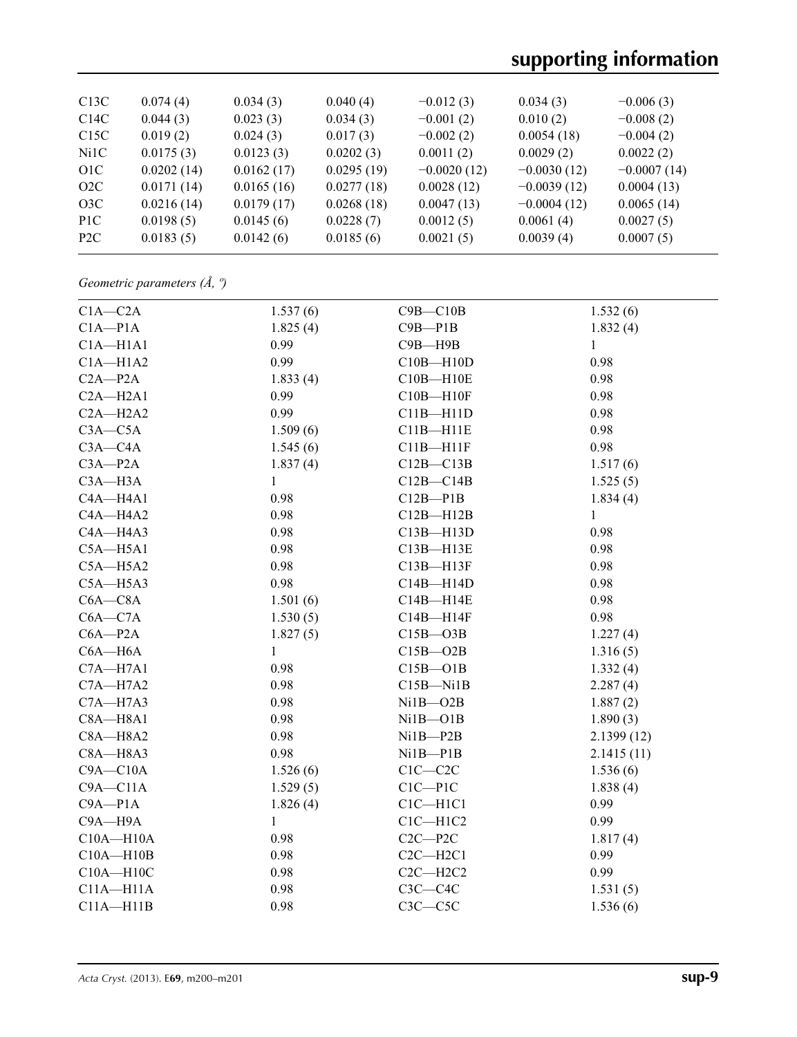# **supporting information**

| C13C             | 0.074(4)   | 0.034(3)   | 0.040(4)   | $-0.012(3)$   | 0.034(3)      | $-0.006(3)$   |
|------------------|------------|------------|------------|---------------|---------------|---------------|
| C14C             | 0.044(3)   | 0.023(3)   | 0.034(3)   | $-0.001(2)$   | 0.010(2)      | $-0.008(2)$   |
| C15C             | 0.019(2)   | 0.024(3)   | 0.017(3)   | $-0.002(2)$   | 0.0054(18)    | $-0.004(2)$   |
| Ni1C             | 0.0175(3)  | 0.0123(3)  | 0.0202(3)  | 0.0011(2)     | 0.0029(2)     | 0.0022(2)     |
| O <sub>1</sub> C | 0.0202(14) | 0.0162(17) | 0.0295(19) | $-0.0020(12)$ | $-0.0030(12)$ | $-0.0007(14)$ |
| O2C              | 0.0171(14) | 0.0165(16) | 0.0277(18) | 0.0028(12)    | $-0.0039(12)$ | 0.0004(13)    |
| O3C              | 0.0216(14) | 0.0179(17) | 0.0268(18) | 0.0047(13)    | $-0.0004(12)$ | 0.0065(14)    |
| P <sub>1</sub> C | 0.0198(5)  | 0.0145(6)  | 0.0228(7)  | 0.0012(5)     | 0.0061(4)     | 0.0027(5)     |
| P2C              | 0.0183(5)  | 0.0142(6)  | 0.0185(6)  | 0.0021(5)     | 0.0039(4)     | 0.0007(5)     |
|                  |            |            |            |               |               |               |

*Geometric parameters (Å, º)*

| $C1A - C2A$   | 1.537(6)     | $C9B - C10B$  | 1.532(6)     |
|---------------|--------------|---------------|--------------|
| $C1A - P1A$   | 1.825(4)     | $C9B - P1B$   | 1.832(4)     |
| $C1A - H1A1$  | 0.99         | $C9B - H9B$   | $\mathbf{1}$ |
| $C1A - H1A2$  | 0.99         | $C10B - H10D$ | 0.98         |
| $C2A - P2A$   | 1.833(4)     | $C10B - H10E$ | 0.98         |
| $C2A - H2A1$  | 0.99         | $C10B - H10F$ | 0.98         |
| $C2A - H2A2$  | 0.99         | $C11B - H11D$ | 0.98         |
| $C3A - C5A$   | 1.509(6)     | $C11B - H11E$ | 0.98         |
| $C3A - C4A$   | 1.545(6)     | $C11B - H11F$ | 0.98         |
| $C3A - P2A$   | 1.837(4)     | $C12B - C13B$ | 1.517(6)     |
| $C3A - H3A$   | $\mathbf{1}$ | $C12B - C14B$ | 1.525(5)     |
| C4A-H4A1      | 0.98         | $C12B - P1B$  | 1.834(4)     |
| $CAA - H4A2$  | 0.98         | $C12B - H12B$ | $\mathbf{1}$ |
| C4A-H4A3      | 0.98         | $C13B - H13D$ | 0.98         |
| $C5A - H5A1$  | 0.98         | $C13B - H13E$ | 0.98         |
| $C5A - H5A2$  | 0.98         | $C13B - H13F$ | 0.98         |
| $C5A - H5A3$  | 0.98         | $C14B - H14D$ | 0.98         |
| $C6A - C8A$   | 1.501(6)     | C14B-H14E     | 0.98         |
| $C6A - C7A$   | 1.530(5)     | $C14B - H14F$ | 0.98         |
| $C6A - P2A$   | 1.827(5)     | $C15B - O3B$  | 1.227(4)     |
| $C6A - H6A$   | $\mathbf{1}$ | $C15B - O2B$  | 1.316(5)     |
| $C7A - H7A1$  | 0.98         | $C15B - O1B$  | 1.332(4)     |
| $C7A - H7A2$  | 0.98         | $C15B - N11B$ | 2.287(4)     |
| $C7A - H7A3$  | 0.98         | $Ni1B - O2B$  | 1.887(2)     |
| $C8A - H8A1$  | 0.98         | $Ni1B - O1B$  | 1.890(3)     |
| $C8A - H8A2$  | 0.98         | $Ni1B - P2B$  | 2.1399(12)   |
| $C8A - H8A3$  | 0.98         | $Ni1B - P1B$  | 2.1415(11)   |
| $C9A - C10A$  | 1.526(6)     | $C1C - C2C$   | 1.536(6)     |
| $C9A - C11A$  | 1.529(5)     | $C1C-P1C$     | 1.838(4)     |
| $C9A - P1A$   | 1.826(4)     | $ClC-H1Cl$    | 0.99         |
| C9A-H9A       | 1            | $C1C - H1C2$  | 0.99         |
| $C10A - H10A$ | 0.98         | $C2C - P2C$   | 1.817(4)     |
| $C10A - H10B$ | 0.98         | $C2C - H2C1$  | 0.99         |
| $C10A - H10C$ | 0.98         | $C2C - H2C2$  | 0.99         |
| $C11A - H11A$ | 0.98         | $C3C - C4C$   | 1.531(5)     |
| $C11A - H11B$ | 0.98         | $C3C - C5C$   | 1.536(6)     |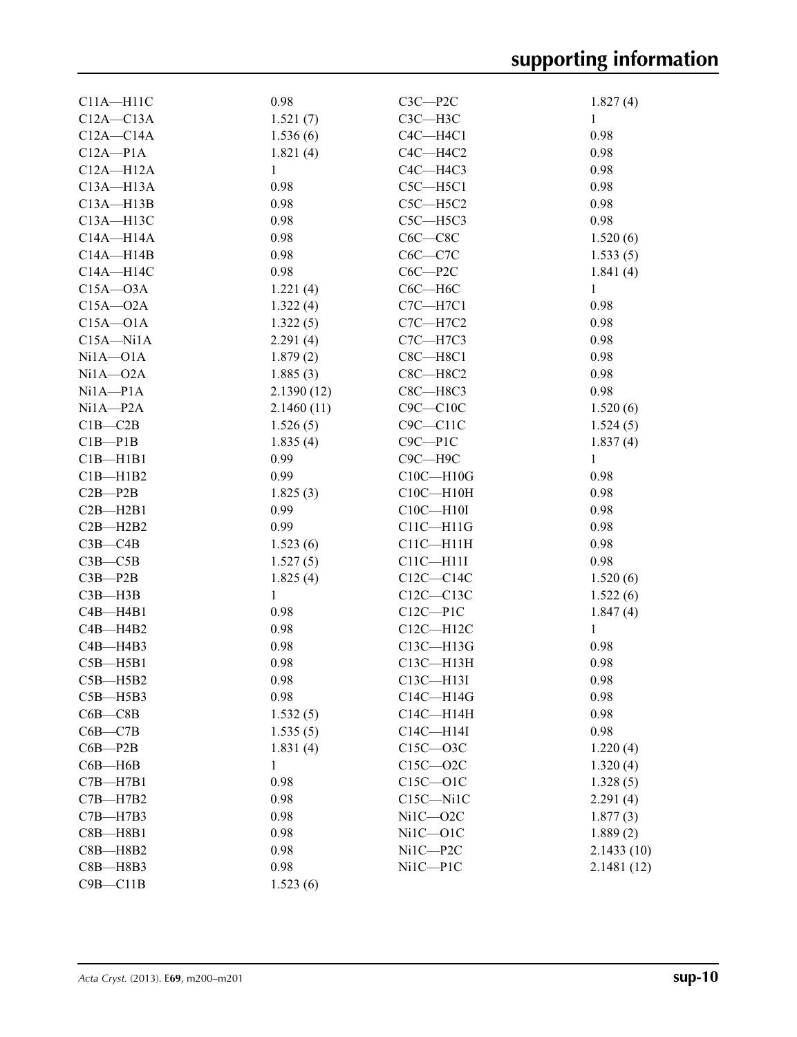| $C11A - H11C$ | 0.98          | $C3C - P2C$               | 1.827(4)     |
|---------------|---------------|---------------------------|--------------|
| $C12A - C13A$ | 1.521(7)      | $C3C - H3C$               | $\mathbf{1}$ |
| $C12A - C14A$ | 1.536(6)      | $C4C - H4C1$              | 0.98         |
| $C12A - P1A$  | 1.821(4)      | C4C-H4C2                  | 0.98         |
| $C12A - H12A$ | $\mathbf{1}$  | C4C-H4C3                  | 0.98         |
| $C13A - H13A$ | 0.98          | $C5C - H5C1$              | 0.98         |
| $C13A - H13B$ | 0.98          | $C5C - H5C2$              | 0.98         |
| $C13A - H13C$ | 0.98          | $C5C - H5C3$              | 0.98         |
| $C14A - H14A$ | 0.98          | $C6C - C8C$               | 1.520(6)     |
| $C14A - H14B$ | 0.98          | $C6C - C7C$               | 1.533(5)     |
| $C14A - H14C$ | 0.98          | $C6C - P2C$               | 1.841(4)     |
| $C15A - O3A$  | 1.221(4)      | $C6C - H6C$               | $\mathbf{1}$ |
| $C15A - 02A$  | 1.322(4)      | $C7C - H7C1$              | 0.98         |
| $C15A - O1A$  | 1.322(5)      | $C7C - H7C2$              | 0.98         |
| $C15A - N11A$ | 2.291(4)      | C7C-H7C3                  | 0.98         |
| $Ni1A - O1A$  | 1.879(2)      | $C8C - H8C1$              | 0.98         |
| $Ni1A - O2A$  | 1.885(3)      | $C8C - H8C2$              | 0.98         |
| $Ni1A - P1A$  | 2.1390(12)    | $C8C - H8C3$              | 0.98         |
| $Ni1A - P2A$  | 2.1460(11)    | $C9C - C10C$              | 1.520(6)     |
| $C1B - C2B$   | 1.526(5)      | $C9C - C11C$              | 1.524(5)     |
| $C1B - P1B$   | 1.835(4)      | $C9C - P1C$               | 1.837(4)     |
| $C1B - H1B1$  | 0.99          | $C9C - H9C$               | $\mathbf{1}$ |
| $C1B - H1B2$  | 0.99          | $C10C - H10G$             | 0.98         |
| $C2B - P2B$   | 1.825(3)      | $C10C - H10H$             | 0.98         |
| $C2B - H2B1$  | 0.99          | $C10C - H10I$             | 0.98         |
| $C2B - H2B2$  | 0.99          | $C11C - H11G$             | 0.98         |
| $C3B - C4B$   | 1.523(6)      | $C11C - H11H$             | 0.98         |
| $C3B - C5B$   | 1.527(5)      | $C11C - H11I$             | 0.98         |
| $C3B - P2B$   | 1.825(4)      | $C12C - C14C$             | 1.520(6)     |
| $C3B$ —H $3B$ | $\mathbf{1}$  | C12C-C13C                 | 1.522(6)     |
| $C4B - H4B1$  | 0.98          | $C12C - P1C$              | 1.847(4)     |
| $C4B - H4B2$  | 0.98          | $C12C - H12C$             | $\mathbf{1}$ |
| $C4B - H4B3$  | 0.98          | C13C-H13G                 | 0.98         |
| $C5B - H5B1$  | 0.98          | C13C-H13H                 | 0.98         |
| $C5B - H5B2$  | 0.98          | C13C-H13I                 | 0.98         |
| $C5B - H5B3$  | 0.98          | C14C-H14G                 | 0.98         |
| $C6B - C8B$   | 1.532(5)      | C14C-H14H                 | 0.98         |
| $C6B - C7B$   | 1.535(5)      | $C14C - H14I$             | 0.98         |
| $C6B - P2B$   |               | $C15C - 03C$              | 1.220(4)     |
| $C6B - H6B$   | 1.831(4)<br>1 | $C15C - O2C$              |              |
|               |               |                           | 1.320(4)     |
| $C7B - H7B1$  | 0.98          | $C15C - O1C$<br>C15C-Ni1C | 1.328(5)     |
| $C7B - H7B2$  | 0.98          |                           | 2.291(4)     |
| $C7B - H7B3$  | 0.98          | Ni1C-O2C                  | 1.877(3)     |
| $C8B - H8B1$  | 0.98          | Ni1C-O1C                  | 1.889(2)     |
| $C8B - H8B2$  | 0.98          | $Ni1C - P2C$              | 2.1433(10)   |
| C8B-H8B3      | 0.98          | $NiIC - PlC$              | 2.1481(12)   |
| $C9B - C11B$  | 1.523(6)      |                           |              |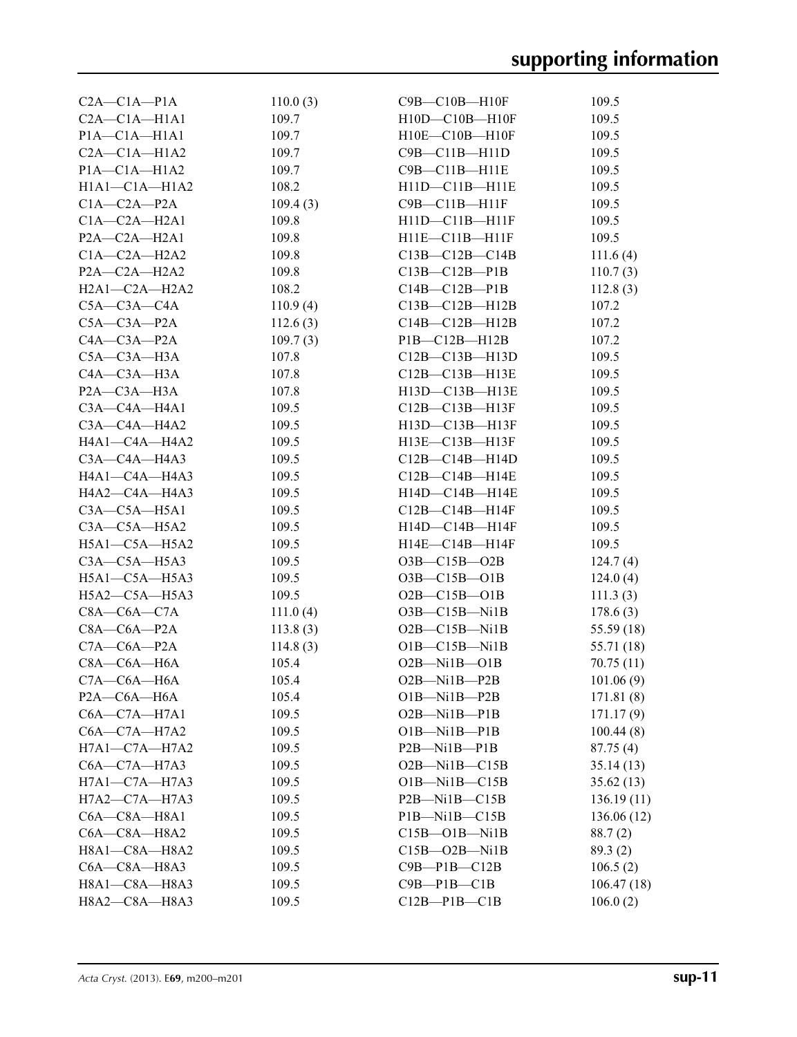| $C2A - C1A - P1A$   | 110.0(3)    | $C9B - C10B - H10F$                    | 109.5       |
|---------------------|-------------|----------------------------------------|-------------|
| $C2A - C1A - H1A1$  | 109.7       | $H10D-C10B-H10F$                       | 109.5       |
| $P1A - C1A - H1A1$  | 109.7       | $H10E - C10B - H10F$                   | 109.5       |
| $C2A - C1A - H1A2$  | 109.7       | C9B-C11B-H11D                          | 109.5       |
| $P1A - C1A - H1A2$  | 109.7       | $C9B - C11B - H11E$                    | 109.5       |
| $H1A1 - C1A - H1A2$ | 108.2       | H11D-C11B-H11E                         | 109.5       |
| $C1A - C2A - P2A$   | 109.4(3)    | C9B-C11B-H11F                          | 109.5       |
| $C1A - C2A - H2A1$  | 109.8       | H11D-C11B-H11F                         | 109.5       |
| $P2A - C2A - H2A1$  | 109.8       | $H11E-C11B-H11F$                       | 109.5       |
| $C1A-C2A-H2A2$      | 109.8       | $C13B - C12B - C14B$                   | 111.6(4)    |
| $P2A$ —C2A—H2A2     | 109.8       | $C13B - C12B - P1B$                    | 110.7(3)    |
| $H2A1 - C2A - H2A2$ | 108.2       | $C14B - C12B - P1B$                    | 112.8(3)    |
| $C5A - C3A - C4A$   | 110.9(4)    | $C13B - C12B - H12B$                   | 107.2       |
| $C5A - C3A - P2A$   | 112.6(3)    | $C14B - C12B - H12B$                   | 107.2       |
| $C4A - C3A - P2A$   | 109.7(3)    | $PIB$ — $C12B$ — $H12B$                | 107.2       |
| $C5A - C3A - H3A$   | 107.8       | $C12B - C13B - H13D$                   | 109.5       |
| $C4A - C3A - H3A$   |             |                                        |             |
|                     | 107.8       | $C12B - C13B - H13E$<br>H13D-C13B-H13E | 109.5       |
| $P2A$ —C3A—H3A      | 107.8       |                                        | 109.5       |
| $C3A - C4A - H4A1$  | 109.5       | $C12B - C13B - H13F$                   | 109.5       |
| C3A—C4A—H4A2        | 109.5       | H13D-C13B-H13F                         | 109.5       |
| H4A1-C4A-H4A2       | 109.5       | H13E-C13B-H13F                         | 109.5       |
| $C3A - C4A - H4A3$  | 109.5       | $C12B - C14B - H14D$                   | 109.5       |
| H4A1—C4A—H4A3       | 109.5       | $C12B - C14B - H14E$                   | 109.5       |
| H4A2—C4A—H4A3       | 109.5       | H14D-C14B-H14E                         | 109.5       |
| $C3A - C5A - H5A1$  | 109.5       | $C12B - C14B - H14F$                   | 109.5       |
| $C3A - C5A - H5A2$  | 109.5       | H14D-C14B-H14F                         | 109.5       |
| $H5A1-C5A-H5A2$     | 109.5       | H14E-C14B-H14F                         | 109.5       |
| $C3A - C5A - H5A3$  | 109.5       | $O3B - C15B - O2B$                     | 124.7(4)    |
| H5A1-C5A-H5A3       | 109.5       | $O3B - C15B - O1B$                     | 124.0(4)    |
| H5A2—C5A—H5A3       | 109.5       | $O2B - C15B - O1B$                     | 111.3(3)    |
| $C8A-C6A-C7A$       | 111.0(4)    | $O3B - C15B - Ni1B$                    | 178.6(3)    |
| $C8A - C6A - P2A$   | 113.8 $(3)$ | $O2B$ —C15B—Ni1B                       | 55.59 (18)  |
| $C7A - C6A - P2A$   | 114.8(3)    | $O1B - C15B - N1B$                     | 55.71 (18)  |
| $C8A - C6A - H6A$   | 105.4       | $O2B-Mi1B-O1B$                         | 70.75(11)   |
| $C7A - C6A - H6A$   | 105.4       | $O2B$ —Ni1B—P2B                        | 101.06(9)   |
| $P2A - C6A - H6A$   | 105.4       | $O1B-Mi1B-P2B$                         | 171.81 (8)  |
| $C6A - C7A - H7A1$  | 109.5       | O2B-Ni1B-P1B                           | 171.17(9)   |
| $C6A - C7A - H7A2$  | 109.5       | $O1B-Mi1B-P1B$                         | 100.44(8)   |
| $H7A1-C7A-H7A2$     | 109.5       | $P2B$ —Ni1B—P1B                        | 87.75(4)    |
| $C6A - C7A - H7A3$  | 109.5       | $O2B-Mi1B-C15B$                        | 35.14(13)   |
| $H7A1 - C7A - H7A3$ | 109.5       | $O1B-Mi1B-C15B$                        | 35.62(13)   |
| H7A2-C7A-H7A3       | 109.5       | P2B-Ni1B-C15B                          | 136.19(11)  |
| $C6A - C8A - H8A1$  | 109.5       | $PIB-Mi1B-C15B$                        | 136.06 (12) |
| $C6A - C8A - H8A2$  | 109.5       | $C15B - O1B - Ni1B$                    | 88.7(2)     |
| H8A1-C8A-H8A2       | 109.5       | $C15B - O2B - Ni1B$                    | 89.3(2)     |
| C6A-C8A-H8A3        | 109.5       | $C9B - P1B - C12B$                     | 106.5(2)    |
| H8A1-C8A-H8A3       | 109.5       | $C9B - P1B - C1B$                      | 106.47(18)  |
| H8A2-C8A-H8A3       | 109.5       | $C12B - P1B - C1B$                     | 106.0(2)    |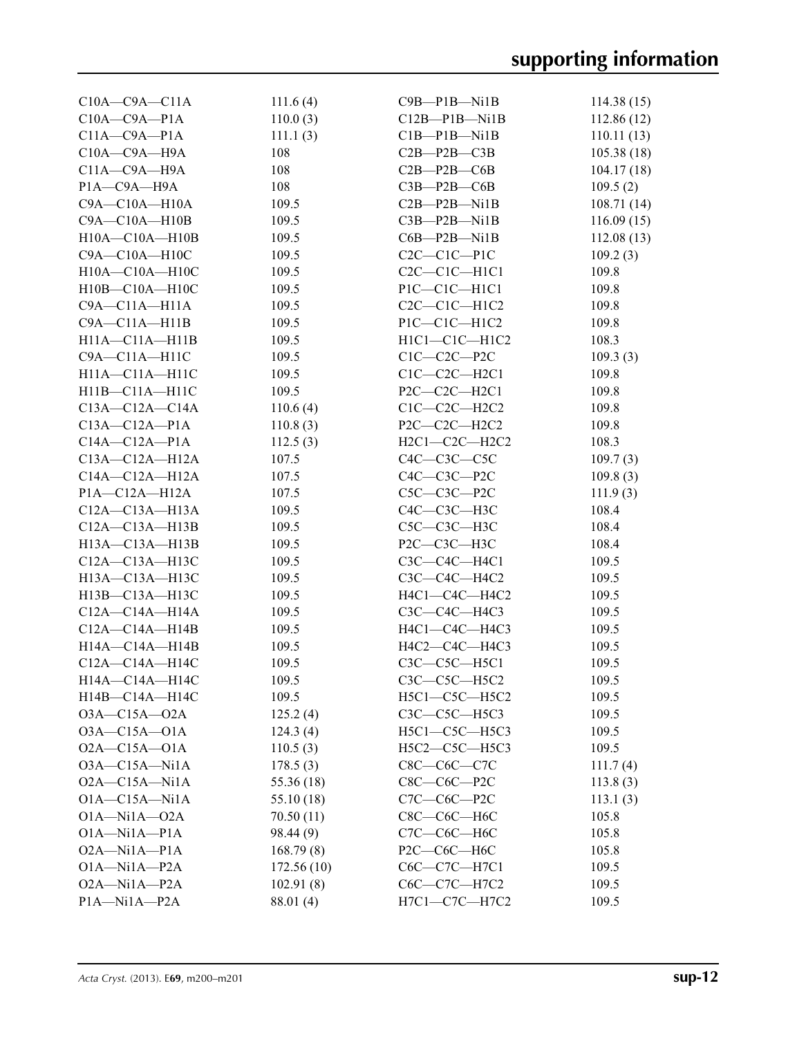| $C10A - C9A - C11A$  | 111.6(4)   | $C9B - P1B - N1B$     | 114.38(15) |
|----------------------|------------|-----------------------|------------|
| $C10A - C9A - P1A$   | 110.0(3)   | $C12B-P1B-Ni1B$       | 112.86(12) |
| $C11A - C9A - P1A$   | 111.1(3)   | $C1B-P1B-Ni1B$        | 110.11(13) |
| $C10A - C9A - H9A$   | 108        | $C2B$ — $P2B$ — $C3B$ | 105.38(18) |
| $C11A - C9A - H9A$   | 108        | $C2B - P2B - C6B$     | 104.17(18) |
| P1A-C9A-H9A          | 108        | $C3B-P2B-C6B$         | 109.5(2)   |
| $C9A - C10A - H10A$  | 109.5      | $C2B - P2B - Ni1B$    | 108.71(14) |
| $C9A - C10A - H10B$  | 109.5      | $C3B - P2B - Ni1B$    | 116.09(15) |
| $H10A - C10A - H10B$ | 109.5      | $C6B - P2B - Ni1B$    | 112.08(13) |
| $C9A - C10A - H10C$  | 109.5      | $C2C-C1C-P1C$         | 109.2(3)   |
| H10A-C10A-H10C       | 109.5      | $C2C-C1C-H1C1$        | 109.8      |
| $H10B - C10A - H10C$ | 109.5      | $P1C - C1C - H1C1$    | 109.8      |
| $C9A - C11A - H11A$  | 109.5      | $C2C-C1C-H1C2$        | 109.8      |
| $C9A - C11A - H11B$  | 109.5      | $P1C-C1C-H1C2$        | 109.8      |
| $H11A - C11A - H11B$ | 109.5      | $H1Cl$ -C1C - $H1C2$  | 108.3      |
| $C9A - C11A - H11C$  | 109.5      | $C1C-C2C-P2C$         | 109.3(3)   |
| H11A-C11A-H11C       | 109.5      | $C1C-C2C-H2C1$        | 109.8      |
| $H11B - C11A - H11C$ | 109.5      | $P2C-C2C-H2C1$        | 109.8      |
| $C13A - C12A - C14A$ | 110.6(4)   | $C1C-C2C-H2C2$        | 109.8      |
| $C13A - C12A - P1A$  | 110.8(3)   | $P2C-C2C-H2C2$        | 109.8      |
| $C14A - C12A - P1A$  | 112.5(3)   | $H2Cl$ -C2C - H2C2    | 108.3      |
| $C13A - C12A - H12A$ | 107.5      | $C4C-C3C-C5C$         | 109.7(3)   |
| $C14A - C12A - H12A$ | 107.5      | $C4C-C3C-P2C$         | 109.8(3)   |
| $P1A - C12A - H12A$  | 107.5      | $C5C-C3C-P2C$         | 111.9(3)   |
| $C12A - C13A - H13A$ | 109.5      | $C4C-C3C-H3C$         | 108.4      |
| $C12A - C13A - H13B$ | 109.5      | $C5C-C3C-H3C$         | 108.4      |
| $H13A - C13A - H13B$ | 109.5      | $P2C-C3C-H3C$         | 108.4      |
| C12A-C13A-H13C       | 109.5      | $C3C-C4C-H4C1$        | 109.5      |
| H13A-C13A-H13C       | 109.5      | $C3C$ — $C4C$ —H4C2   | 109.5      |
| H13B-C13A-H13C       | 109.5      | H4C1-C4C-H4C2         | 109.5      |
| $C12A - C14A - H14A$ |            |                       |            |
|                      | 109.5      | C3C-C4C-H4C3          | 109.5      |
| $C12A - C14A - H14B$ | 109.5      | H4C1-C4C-H4C3         | 109.5      |
| H14A-C14A-H14B       | 109.5      | H4C2-C4C-H4C3         | 109.5      |
| C12A-C14A-H14C       | 109.5      | C3C-C5C-H5C1          | 109.5      |
| H14A-C14A-H14C       | 109.5      | C3C-C5C-H5C2          | 109.5      |
| $H14B - C14A - H14C$ | 109.5      | H5C1-C5C-H5C2         | 109.5      |
| $O3A - C15A - O2A$   | 125.2(4)   | C3C-C5C-H5C3          | 109.5      |
| $O3A - C15A - O1A$   | 124.3(4)   | H5C1-C5C-H5C3         | 109.5      |
| $O2A - C15A - O1A$   | 110.5(3)   | H5C2-C5C-H5C3         | 109.5      |
| $O3A - C15A - N11A$  | 178.5(3)   | $C8C-C6C-C7C$         | 111.7(4)   |
| $O2A - C15A - N11A$  | 55.36 (18) | $C8C-C6C-P2C$         | 113.8(3)   |
| $O1A - C15A - N1A$   | 55.10 (18) | $C7C-C6C-P2C$         | 113.1(3)   |
| $O1A - N11A - O2A$   | 70.50(11)  | $C8C-C6C-H6C$         | 105.8      |
| $O1A - N11A - P1A$   | 98.44 (9)  | С7С-С6С-Н6С           | 105.8      |
| $O2A-Mi1A-P1A$       | 168.79(8)  | P2C-C6C-H6C           | 105.8      |
| $O1A - N11A - P2A$   | 172.56(10) | C6C-C7C-H7C1          | 109.5      |
| O2A-Ni1A-P2A         | 102.91(8)  | C6C-C7C-H7C2          | 109.5      |
| $P1A$ -Ni $1A$ -P2A  | 88.01 (4)  | H7C1-C7C-H7C2         | 109.5      |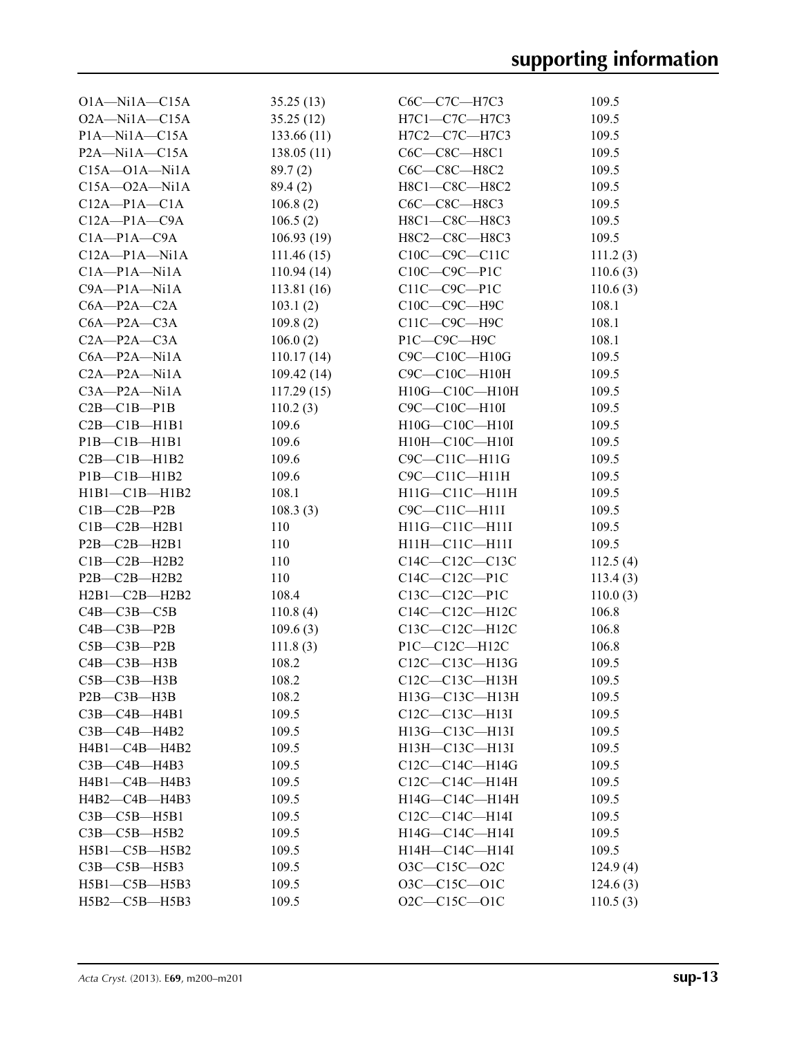| $O1A - N11A - C15A$     | 35.25(13)  | C6C-C7C-H7C3           | 109.5    |
|-------------------------|------------|------------------------|----------|
| $O2A - N11A - C15A$     | 35.25(12)  | H7C1-C7C-H7C3          | 109.5    |
| $P1A$ —Ni $1A$ —C $15A$ | 133.66(11) | H7C2-C7C-H7C3          | 109.5    |
| $P2A-Mi1A-C15A$         | 138.05(11) | C6C—C8C—H8C1           | 109.5    |
| $C15A - O1A - N11A$     | 89.7(2)    | C6C—C8C—H8C2           | 109.5    |
| $C15A - 02A - Ni1A$     | 89.4(2)    | H8C1-C8C-H8C2          | 109.5    |
| $C12A - P1A - C1A$      | 106.8(2)   | C6C—C8C—H8C3           | 109.5    |
| $C12A - P1A - C9A$      | 106.5(2)   | H8C1-C8C-H8C3          | 109.5    |
| $C1A-P1A-C9A$           | 106.93(19) | H8C2-C8C-H8C3          | 109.5    |
| $C12A - P1A - N1A$      | 111.46(15) | $C10C-C9C-C11C$        | 111.2(3) |
| $C1A-P1A-Ni1A$          | 110.94(14) | $C10C - C9C - P1C$     | 110.6(3) |
| $C9A - P1A - N11A$      | 113.81(16) | $C11C-C9C-P1C$         | 110.6(3) |
| $C6A - P2A - C2A$       | 103.1(2)   | C10C-C9C-H9C           | 108.1    |
| $C6A - P2A - C3A$       |            | $C11C$ — $C9C$ — $H9C$ | 108.1    |
|                         | 109.8(2)   |                        |          |
| $C2A-P2A-C3A$           | 106.0(2)   | P1C—C9C—H9C            | 108.1    |
| $C6A - P2A - N11A$      | 110.17(14) | $C9C - C10C - H10G$    | 109.5    |
| $C2A-P2A-Ni1A$          | 109.42(14) | C9C-C10C-H10H          | 109.5    |
| $C3A-P2A-Ni1A$          | 117.29(15) | H10G-C10C-H10H         | 109.5    |
| $C2B - C1B - P1B$       | 110.2(3)   | $C9C - C10C - H10I$    | 109.5    |
| $C2B - C1B - H1B1$      | 109.6      | H10G-C10C-H10I         | 109.5    |
| PIB—CIB—H1B1            | 109.6      | H10H-C10C-H10I         | 109.5    |
| $C2B - C1B - H1B2$      | 109.6      | C9C-C11C-H11G          | 109.5    |
| $PIB - CIB - H1B2$      | 109.6      | C9C-C11C-H11H          | 109.5    |
| $H1B1 - C1B - H1B2$     | 108.1      | H11G-C11C-H11H         | 109.5    |
| $C1B - C2B - P2B$       | 108.3(3)   | C9C-C11C-H11I          | 109.5    |
| $C1B - C2B - H2B1$      | 110        | H11G-C11C-H11I         | 109.5    |
| $P2B - C2B - H2B1$      | 110        | H11H-C11C-H11I         | 109.5    |
| $C1B - C2B - H2B2$      | 110        | $C14C-C12C-C13C$       | 112.5(4) |
| $P2B - C2B - H2B2$      | 110        | $C14C-C12C-P1C$        | 113.4(3) |
| $H2B1-C2B-H2B2$         | 108.4      | $C13C - C12C - P1C$    | 110.0(3) |
| $C4B - C3B - C5B$       | 110.8(4)   | C14C-C12C-H12C         | 106.8    |
| $C4B - C3B - P2B$       | 109.6(3)   | C13C-C12C-H12C         | 106.8    |
| $C5B - C3B - P2B$       | 111.8(3)   | $P1C-C12C-H12C$        | 106.8    |
| $C4B - C3B - H3B$       | 108.2      | C12C-C13C-H13G         | 109.5    |
| $C5B - C3B - H3B$       | 108.2      | C12C—C13C—H13H         | 109.5    |
| $P2B - C3B - H3B$       | 108.2      | H13G-C13C-H13H         | 109.5    |
| $C3B - C4B - H4B1$      | 109.5      | C12C-C13C-H13I         | 109.5    |
| $C3B - C4B - H4B2$      | 109.5      | H13G-C13C-H13I         | 109.5    |
| $H4B1 - C4B - H4B2$     | 109.5      | H13H-C13C-H13I         | 109.5    |
| C3B-C4B-H4B3            | 109.5      | C12C-C14C-H14G         | 109.5    |
| $H4B1 - C4B - H4B3$     | 109.5      | C12C-C14C-H14H         | 109.5    |
| H4B2-C4B-H4B3           | 109.5      | H14G-C14C-H14H         | 109.5    |
| $C3B - C5B - H5B1$      | 109.5      | $C12C-C14C-H14I$       | 109.5    |
| $C3B - C5B - H5B2$      | 109.5      | H14G-C14C-H14I         | 109.5    |
| H5B1-C5B-H5B2           | 109.5      | H14H-C14C-H14I         | 109.5    |
|                         |            |                        |          |
| $C3B - C5B - H5B3$      | 109.5      | $O3C - C15C - O2C$     | 124.9(4) |
| H5B1-C5B-H5B3           | 109.5      | 03C-C15C-01C           | 124.6(3) |
| H5B2-C5B-H5B3           | 109.5      | O2C-C15C-O1C           | 110.5(3) |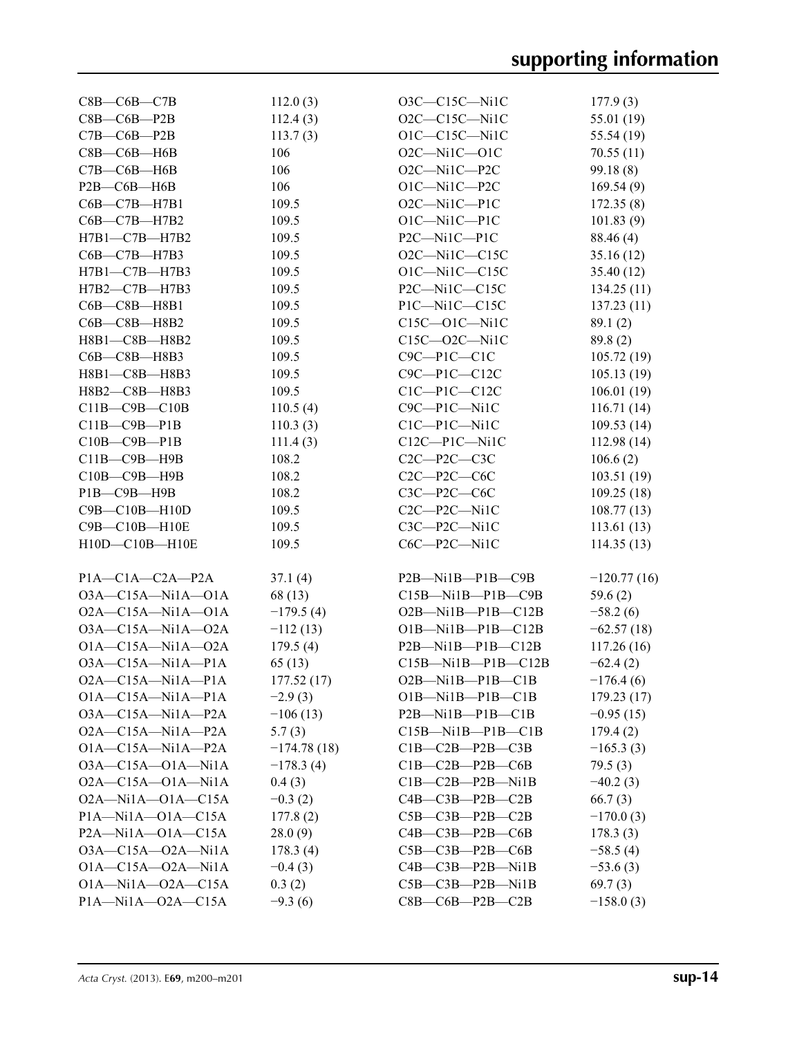| $C8B$ — $C6B$ — $C7B$           | 112.0(3)      | O3C-C15C-Ni1C                   | 177.9(3)      |
|---------------------------------|---------------|---------------------------------|---------------|
| $C8B - C6B - P2B$               | 112.4(3)      | O2C-C15C-Ni1C                   | 55.01 (19)    |
| $C7B - C6B - P2B$               | 113.7(3)      | $O1C - C15C - Ni1C$             | 55.54 (19)    |
| $C8B - C6B - H6B$               | 106           | $O2C-Mi1C-O1C$                  | 70.55(11)     |
| $C7B - C6B - H6B$               | 106           | O2C-Ni1C-P2C                    | 99.18(8)      |
| P2B-C6B-H6B                     | 106           | O1C-Ni1C-P2C                    | 169.54(9)     |
| C6B-C7B-H7B1                    | 109.5         | O2C-Ni1C-P1C                    | 172.35(8)     |
| С6В-С7В-Н7В2                    | 109.5         | $O1C-Mi1C-P1C$                  | 101.83(9)     |
| $H7B1 - C7B - H7B2$             | 109.5         | P2C-Ni1C-P1C                    | 88.46 (4)     |
| C6B-C7B-H7B3                    | 109.5         | O2C-Ni1C-C15C                   | 35.16(12)     |
| H7B1-C7B-H7B3                   | 109.5         | O1C-Ni1C-C15C                   | 35.40 (12)    |
| H7B2-C7B-H7B3                   | 109.5         | P2C-Ni1C-C15C                   | 134.25 (11)   |
| C6B-C8B-H8B1                    | 109.5         | P1C-Ni1C-C15C                   | 137.23(11)    |
| C6B-C8B-H8B2                    | 109.5         | $C15C - O1C - Ni1C$             | 89.1(2)       |
| H8B1-C8B-H8B2                   | 109.5         | $C15C - 02C - Ni1C$             | 89.8(2)       |
| C6B-C8B-H8B3                    | 109.5         | $C9C - P1C - C1C$               | 105.72(19)    |
| H8B1-C8B-H8B3                   | 109.5         | $C9C - P1C - C12C$              | 105.13(19)    |
| H8B2-C8B-H8B3                   | 109.5         | $C1C-P1C-C12C$                  | 106.01(19)    |
| $C11B - C9B - C10B$             | 110.5(4)      | C9C-P1C-Ni1C                    | 116.71(14)    |
| $C11B - C9B - P1B$              | 110.3(3)      | $C1C-P1C-Ni1C$                  | 109.53 (14)   |
| $C10B - C9B - P1B$              | 111.4(3)      | $C12C-P1C-Ni1C$                 | 112.98(14)    |
| C11B-C9B-H9B                    | 108.2         | $C2C-P2C-C3C$                   | 106.6(2)      |
| C10B-C9B-H9B                    | 108.2         | $C2C-P2C-C6C$                   | 103.51 (19)   |
| P1B-C9B-H9B                     | 108.2         | $C3C - P2C - C6C$               | 109.25(18)    |
| $C9B - C10B - H10D$             | 109.5         | C2C-P2C-Ni1C                    | 108.77(13)    |
| C9B-C10B-H10E                   | 109.5         | C3C-P2C-Ni1C                    | 113.61(13)    |
| H10D-C10B-H10E                  | 109.5         | C6C-P2C-Ni1C                    | 114.35(13)    |
|                                 |               |                                 |               |
| $P1A - C1A - C2A - P2A$         | 37.1(4)       | $P2B$ —Nil $B$ —P1 $B$ —C9 $B$  | $-120.77(16)$ |
| $O3A - C15A - Ni1A - O1A$       | 68 (13)       | $C15B-Mi1B-P1B-C9B$             | 59.6(2)       |
| $O2A - C15A - N11A - O1A$       | $-179.5(4)$   | $O2B$ -Nil $B$ -Pl $B$ -Cl $2B$ | $-58.2(6)$    |
| $O3A - C15A - Ni1A - O2A$       | $-112(13)$    | $O1B-Mi1B-P1B-C12B$             | $-62.57(18)$  |
| $O1A - C15A - Ni1A - O2A$       | 179.5(4)      | $P2B$ -Nil $B$ -P1B-C12B        | 117.26(16)    |
| $O3A - C15A - N11A - P1A$       | 65(13)        | $C15B-Mi1B-P1B-C12B$            | $-62.4(2)$    |
| O2A-C15A-Ni1A-P1A               | 177.52(17)    | O2B-Ni1B-P1B-C1B                | $-176.4(6)$   |
| $O1A - C15A - N11A - P1A$       | $-2.9(3)$     | $O1B$ —Ni $1B$ —P $1B$ —C $1B$  | 179.23(17)    |
| $O3A - C15A - N11A - P2A$       | $-106(13)$    | $P2B$ —Nil $B$ —P1 $B$ —C1 $B$  | $-0.95(15)$   |
| $O2A - C15A - N1A - P2A$        | 5.7(3)        | $C15B-Mi1B-P1B-C1B$             | 179.4(2)      |
| $O1A - C15A - N1A - P2A$        | $-174.78(18)$ | $C1B - C2B - P2B - C3B$         | $-165.3(3)$   |
| $O3A - C15A - O1A - N1A$        | $-178.3(4)$   | $C1B - C2B - P2B - C6B$         | 79.5(3)       |
| $O2A - C15A - O1A - N1A$        | 0.4(3)        | $C1B - C2B - P2B - N1B$         | $-40.2(3)$    |
| $O2A - N11A - O1A - C15A$       | $-0.3(2)$     | $C4B - C3B - P2B - C2B$         | 66.7(3)       |
| $P1A$ —Ni $1A$ —O $1A$ —C $15A$ | 177.8(2)      | $C5B - C3B - P2B - C2B$         | $-170.0(3)$   |
| $P2A$ —Nila—O1A—C15A            | 28.0(9)       | $C4B - C3B - P2B - C6B$         | 178.3(3)      |
| $O3A - C15A - O2A - N1A$        | 178.3(4)      | $C5B$ — $C3B$ — $P2B$ — $C6B$   | $-58.5(4)$    |
| $O1A - C15A - O2A - N1A$        | $-0.4(3)$     | $C4B - C3B - P2B - Ni1B$        | $-53.6(3)$    |
| $O1A - N11A - O2A - C15A$       | 0.3(2)        | $C5B - C3B - P2B - Ni1B$        | 69.7(3)       |
| $P1A - N11A - O2A - C15A$       | $-9.3(6)$     | $C8B - C6B - P2B - C2B$         | $-158.0(3)$   |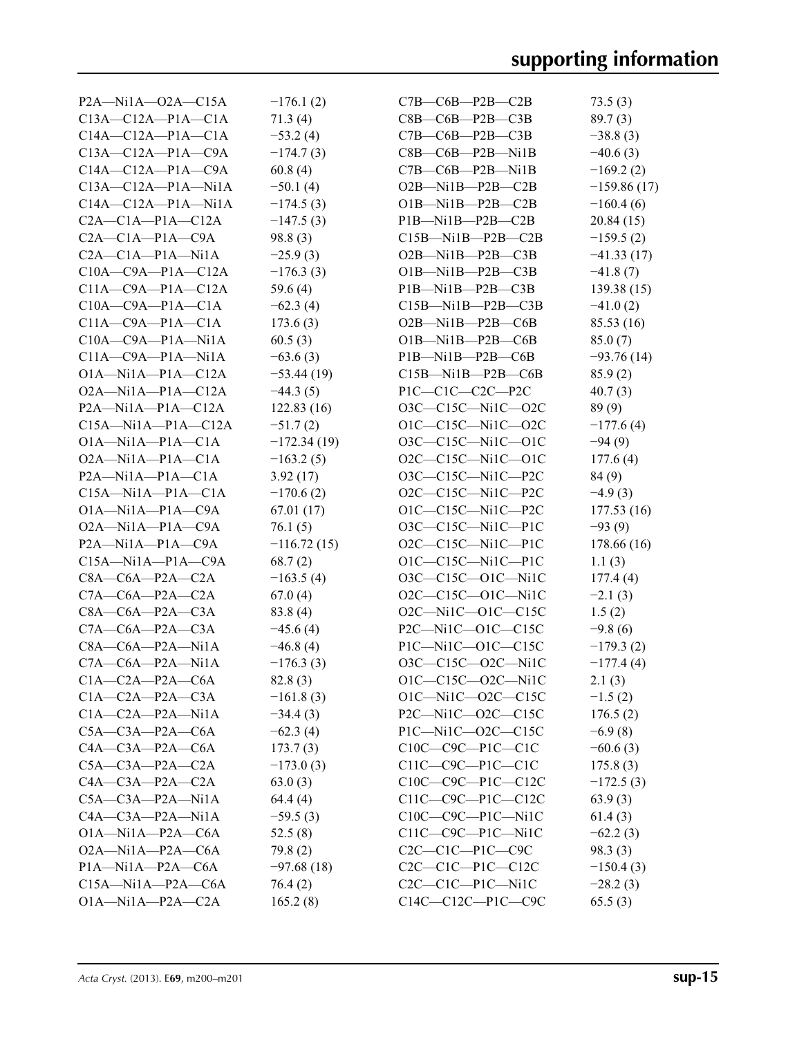| $P2A$ —Nila—O2A—C15A            | $-176.1(2)$   | $C7B$ — $C6B$ — $P2B$ — $C2B$   | 73.5(3)       |
|---------------------------------|---------------|---------------------------------|---------------|
| $C13A - C12A - P1A - C1A$       | 71.3(4)       | $C8B - C6B - P2B - C3B$         | 89.7(3)       |
| $C14A - C12A - P1A - C1A$       | $-53.2(4)$    | $C7B - C6B - P2B - C3B$         | $-38.8(3)$    |
| $C13A - C12A - P1A - C9A$       | $-174.7(3)$   | $C8B - C6B - P2B - N1B$         | $-40.6(3)$    |
| $C14A - C12A - P1A - C9A$       | 60.8(4)       | $C7B$ — $C6B$ — $P2B$ —Ni1B     | $-169.2(2)$   |
| $C13A - C12A - P1A - N1A$       | $-50.1(4)$    | $O2B$ —Ni1B—P2B—C2B             | $-159.86(17)$ |
| $C14A - C12A - P1A - N1A$       | $-174.5(3)$   | $O1B-Mi1B-P2B-C2B$              | $-160.4(6)$   |
| $C2A - C1A - P1A - C12A$        | $-147.5(3)$   | $P1B-Mi1B-P2B-C2B$              | 20.84 (15)    |
| $C2A - C1A - P1A - C9A$         | 98.8(3)       | $C15B-Mi1B-P2B-C2B$             | $-159.5(2)$   |
| $C2A - C1A - P1A - N1A$         | $-25.9(3)$    | $O2B$ —Nil $B$ —P2B—C3B         | $-41.33(17)$  |
| $C10A - C9A - P1A - C12A$       | $-176.3(3)$   | $O1B-Mi1B-P2B-C3B$              | $-41.8(7)$    |
| $C11A - C9A - P1A - C12A$       | 59.6 $(4)$    | $P1B-Mi1B-P2B-C3B$              | 139.38(15)    |
| $C10A - C9A - P1A - C1A$        | $-62.3(4)$    | $C15B-Mi1B-P2B-C3B$             | $-41.0(2)$    |
| $C11A - C9A - P1A - C1A$        | 173.6(3)      | $O2B$ —Nil $B$ —P $2B$ —C6B     | 85.53 (16)    |
| $C10A - C9A - P1A - N1A$        | 60.5(3)       | $O1B-Mi1B-P2B-C6B$              | 85.0(7)       |
| $C11A - C9A - P1A - N11A$       | $-63.6(3)$    | $P1B$ —Ni $1B$ — $P2B$ —C6B     | $-93.76(14)$  |
| $O1A$ —Ni $1A$ —P $1A$ —C $12A$ | $-53.44(19)$  | $C15B-Mi1B-P2B-C6B$             | 85.9(2)       |
| $O2A$ —Nil $A$ —Pl $A$ —Cl $2A$ | $-44.3(5)$    | P1C-C1C-C2C-P2C                 | 40.7(3)       |
| $P2A$ —Nila—P1A—C12A            | 122.83(16)    | $O3C$ — $C15C$ — $Ni1C$ — $O2C$ | 89(9)         |
| $C15A - N11A - P1A - C12A$      | $-51.7(2)$    | $O1C-C15C-Ni1C-O2C$             | $-177.6(4)$   |
| $O1A - N11A - P1A - C1A$        | $-172.34(19)$ | 03C-C15C-Ni1C-01C               | $-94(9)$      |
| $O2A$ —Nil $A$ —Pl $A$ —Cl $A$  | $-163.2(5)$   | $O2C$ — $C15C$ — $Ni1C$ — $O1C$ | 177.6(4)      |
| $P2A$ —Nila—Pla—Cla             | 3.92(17)      | $O3C$ — $C15C$ — $Ni1C$ — $P2C$ | 84 (9)        |
| $C15A - N11A - P1A - C1A$       | $-170.6(2)$   | O2C-C15C-Ni1C-P2C               | $-4.9(3)$     |
| $O1A - N11A - P1A - C9A$        | 67.01(17)     | $O1C-C15C-Ni1C-P2C$             | 177.53(16)    |
| $O2A$ —Nila—Pla—C9A             | 76.1(5)       | $O3C$ — $C15C$ — $Ni1C$ — $P1C$ | $-93(9)$      |
| P2A-Ni1A-P1A-C9A                | $-116.72(15)$ | $O2C-C15C-Ni1C-P1C$             | 178.66 (16)   |
| $C15A - N11A - P1A - C9A$       | 68.7(2)       | $O1C-C15C-Ni1C-P1C$             | 1.1(3)        |
| $C8A - C6A - P2A - C2A$         | $-163.5(4)$   | $O3C$ — $C15C$ — $O1C$ —Ni1C    | 177.4(4)      |
| $C7A - C6A - P2A - C2A$         | 67.0(4)       | $O2C - C15C - O1C - Ni1C$       | $-2.1(3)$     |
| $C8A - C6A - P2A - C3A$         | 83.8 (4)      | $O2C$ —Ni1C—O1C—C15C            | 1.5(2)        |
| $C7A - C6A - P2A - C3A$         | $-45.6(4)$    | P2C-Ni1C-O1C-C15C               | $-9.8(6)$     |
| $C8A - C6A - P2A - N11A$        | $-46.8(4)$    | P1C-Ni1C-O1C-C15C               | $-179.3(2)$   |
| $C7A - C6A - P2A - N11A$        | $-176.3(3)$   | $O3C$ — $C15C$ — $O2C$ —Ni1C    | $-177.4(4)$   |
| $C1A - C2A - P2A - C6A$         | 82.8 (3)      | O1C-C15C-O2C-Ni1C               | 2.1(3)        |
| $C1A - C2A - P2A - C3A$         | $-161.8(3)$   | $O1C - Ni1C - O2C - C15C$       | $-1.5(2)$     |
| $C1A - C2A - P2A - N1A$         | $-34.4(3)$    | P2C-Ni1C-O2C-C15C               | 176.5(2)      |
| $C5A - C3A - P2A - C6A$         | $-62.3(4)$    | $P1C$ —Ni $1C$ —O2C—C15C        | $-6.9(8)$     |
| $C4A - C3A - P2A - C6A$         | 173.7(3)      | $C10C$ — $C9C$ — $P1C$ — $C1C$  | $-60.6(3)$    |
| $C5A - C3A - P2A - C2A$         | $-173.0(3)$   | $C11C$ — $C9C$ — $P1C$ — $C1C$  | 175.8(3)      |
| $C4A - C3A - P2A - C2A$         | 63.0(3)       | $C10C$ — $C9C$ — $P1C$ — $C12C$ | $-172.5(3)$   |
| $C5A - C3A - P2A - N1A$         | 64.4(4)       | $C11C$ — $C9C$ — $P1C$ — $C12C$ | 63.9(3)       |
| $C4A - C3A - P2A - N1A$         | $-59.5(3)$    | $C10C$ — $C9C$ — $P1C$ — $Ni1C$ | 61.4(3)       |
| $O1A-Mi1A-P2A-C6A$              | 52.5(8)       | $C11C$ — $C9C$ — $P1C$ — $Ni1C$ | $-62.2(3)$    |
| $O2A-Mi1A-P2A-C6A$              | 79.8(2)       | C2C-C1C-P1C-C9C                 | 98.3(3)       |
| $P1A$ —Ni $1A$ — $P2A$ —C6A     | $-97.68(18)$  | $C2C-C1C-P1C-C12C$              | $-150.4(3)$   |
| $C15A - N11A - P2A - C6A$       | 76.4(2)       | $C2C-C1C-P1C-Ni1C$              | $-28.2(3)$    |
| $O1A - N11A - P2A - C2A$        | 165.2(8)      | $C14C-C12C-P1C-C9C$             | 65.5(3)       |
|                                 |               |                                 |               |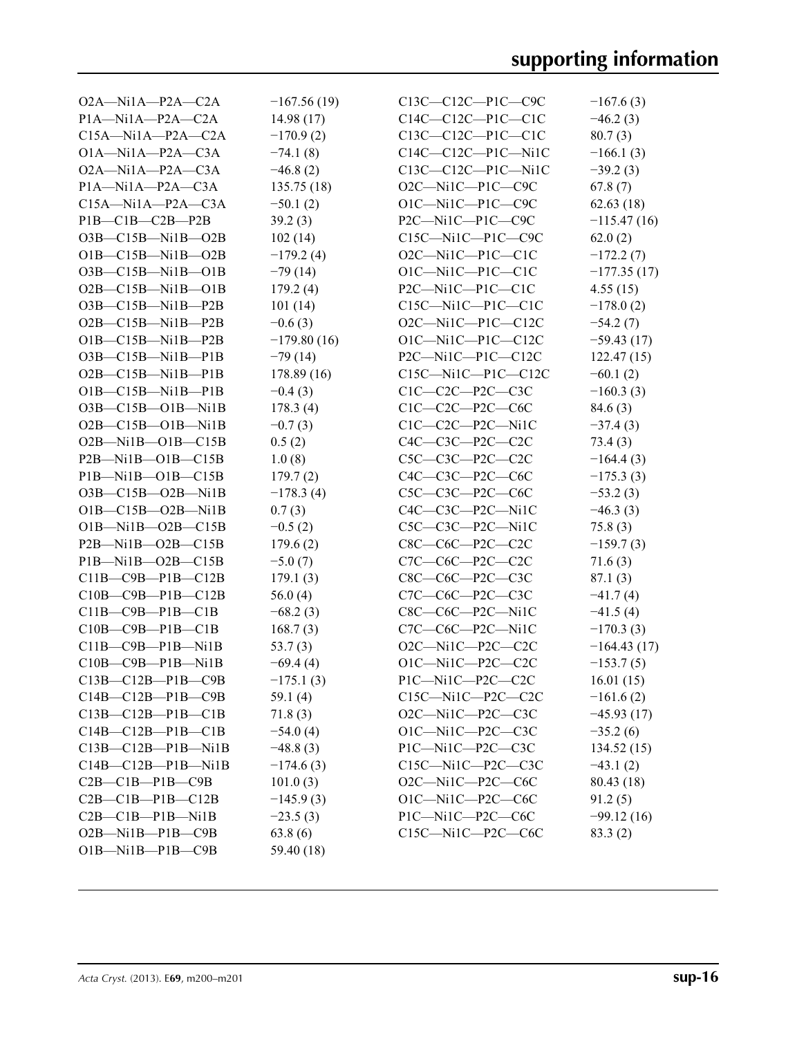| $O2A$ —Nila—P $2A$ —C $2A$      | $-167.56(19)$ | $C13C - C12C - P1C - C9C$       | $-167.6(3)$   |
|---------------------------------|---------------|---------------------------------|---------------|
| $P1A$ —Ni $1A$ — $P2A$ —C2A     | 14.98(17)     | $C14C-C12C-P1C-C1C$             | $-46.2(3)$    |
| $C15A - N11A - P2A - C2A$       | $-170.9(2)$   | $C13C-C12C-P1C-C1C$             | 80.7(3)       |
| $O1A$ —Ni $1A$ —P $2A$ —C $3A$  | $-74.1(8)$    | $C14C-C12C-P1C-Ni1C$            | $-166.1(3)$   |
| $O2A$ —Nil $A$ —P $2A$ —C $3A$  | $-46.8(2)$    | $C13C - C12C - P1C - Ni1C$      | $-39.2(3)$    |
| $P1A$ —Ni $1A$ — $P2A$ —C3A     | 135.75(18)    | O2C-Ni1C-P1C-C9C                | 67.8(7)       |
| $C15A - N11A - P2A - C3A$       | $-50.1(2)$    | O1C-Ni1C-P1C-C9C                | 62.63(18)     |
| $PIB$ — $CIB$ — $C2B$ — $P2B$   | 39.2(3)       | P2C-Ni1C-P1C-C9C                | $-115.47(16)$ |
| O3B-C15B-Ni1B-O2B               | 102(14)       | C15C-Ni1C-P1C-C9C               | 62.0(2)       |
| $O1B - C15B - Ni1B - O2B$       | $-179.2(4)$   | O2C-Ni1C-P1C-C1C                | $-172.2(7)$   |
| $O3B$ — $C15B$ — $Ni1B$ — $O1B$ | $-79(14)$     | $O1C-Mi1C-P1C-C1C$              | $-177.35(17)$ |
| $O2B - C15B - Ni1B - O1B$       | 179.2(4)      | $P2C$ —Nil $C$ —P1 $C$ —C1C     | 4.55(15)      |
| $O3B$ — $C15B$ — $Ni1B$ — $P2B$ | 101(14)       | $C15C - Ni1C - P1C - C1C$       | $-178.0(2)$   |
| $O2B$ — $C15B$ — $Ni1B$ — $P2B$ | $-0.6(3)$     | $O2C$ —Nil $C$ —Pl $C$ —Cl $2C$ | $-54.2(7)$    |
| $O1B - C15B - Ni1B - P2B$       | $-179.80(16)$ | $O1C-Mi1C-P1C-C12C$             | $-59.43(17)$  |
| $O3B$ — $C15B$ — $Ni1B$ — $P1B$ | $-79(14)$     | P2C-Ni1C-P1C-C12C               | 122.47(15)    |
| $O2B - C15B - Ni1B - P1B$       | 178.89(16)    | $C15C$ -Ni1C-P1C-C12C           | $-60.1(2)$    |
| $O1B - C15B - Ni1B - P1B$       | $-0.4(3)$     | $C1C-C2C-P2C-C3C$               | $-160.3(3)$   |
| $O3B$ — $C15B$ — $O1B$ —Ni1B    | 178.3(4)      | $C1C-C2C-P2C-C6C$               | 84.6(3)       |
| $O2B - C15B - O1B - Ni1B$       | $-0.7(3)$     | C1C-C2C-P2C-Ni1C                | $-37.4(3)$    |
| $O2B$ —Nil $B$ — $O1B$ —C15B    | 0.5(2)        | $C4C-C3C-P2C-C2C$               | 73.4(3)       |
| $P2B$ —Nil $B$ —Ol $B$ —Cl $5B$ | 1.0(8)        | $C5C-C3C-P2C-C2C$               | $-164.4(3)$   |
| P1B-Ni1B-O1B-C15B               | 179.7(2)      | C4C-C3C-P2C-C6C                 | $-175.3(3)$   |
| $O3B - C15B - O2B - N1B$        | $-178.3(4)$   | C5C-C3C-P2C-C6C                 | $-53.2(3)$    |
| $O1B - C15B - O2B - Ni1B$       | 0.7(3)        | $C4C-C3C-P2C-Ni1C$              | $-46.3(3)$    |
| $O1B-Mi1B-O2B-C15B$             | $-0.5(2)$     | $C5C-C3C-P2C-Ni1C$              | 75.8(3)       |
| $P2B$ —Ni1B—O2B—C15B            | 179.6(2)      | $C8C$ — $C6C$ — $P2C$ — $C2C$   | $-159.7(3)$   |
| P1B-Ni1B-O2B-C15B               | $-5.0(7)$     | C7C-C6C-P2C-C2C                 | 71.6(3)       |
| $C11B - C9B - P1B - C12B$       | 179.1(3)      | C8C-C6C-P2C-C3C                 | 87.1(3)       |
| $C10B - C9B - P1B - C12B$       | 56.0 $(4)$    | C7C-C6C-P2C-C3C                 | $-41.7(4)$    |
| $C11B - C9B - P1B - C1B$        | $-68.2(3)$    | C8C-C6C-P2C-Ni1C                | $-41.5(4)$    |
| $C10B - C9B - P1B - C1B$        | 168.7(3)      | C7C-C6C-P2C-Ni1C                | $-170.3(3)$   |
| $C11B - C9B - P1B - N1B$        | 53.7(3)       | $O2C$ —Ni1C—P2C—C2C             | $-164.43(17)$ |
| $C10B - C9B - P1B - Ni1B$       | $-69.4(4)$    | O1C-Ni1C-P2C-C2C                | $-153.7(5)$   |
| C13B-C12B-P1B-C9B               | $-175.1(3)$   | P1C-Ni1C-P2C-C2C                | 16.01(15)     |
| $C14B - C12B - P1B - C9B$       | 59.1 $(4)$    | $C15C$ —Ni $1C$ —P2C—C2C        | $-161.6(2)$   |
| $C13B - C12B - P1B - C1B$       | 71.8(3)       | O2C-Ni1C-P2C-C3C                | $-45.93(17)$  |
| $C14B - C12B - P1B - C1B$       | $-54.0(4)$    | O1C-Ni1C-P2C-C3C                | $-35.2(6)$    |
| $C13B - C12B - P1B - Ni1B$      | $-48.8(3)$    | P1C-Ni1C-P2C-C3C                | 134.52(15)    |
| $C14B - C12B - P1B - Ni1B$      | $-174.6(3)$   | $C15C$ —Ni $1C$ —P2C—C3C        | $-43.1(2)$    |
| $C2B - C1B - P1B - C9B$         | 101.0(3)      | O2C-Ni1C-P2C-C6C                | 80.43 (18)    |
| $C2B - C1B - P1B - C12B$        | $-145.9(3)$   | O1C-Ni1C-P2C-C6C                | 91.2(5)       |
| $C2B - C1B - P1B - Ni1B$        | $-23.5(3)$    | P1C-Ni1C-P2C-C6C                | $-99.12(16)$  |
| $O2B$ —Nil $B$ —P $1B$ —C $9B$  | 63.8(6)       | $C15C$ —Ni $1C$ —P2C—C6C        | 83.3(2)       |
| $O1B$ —Ni $1B$ —P $1B$ —C $9B$  | 59.40 (18)    |                                 |               |